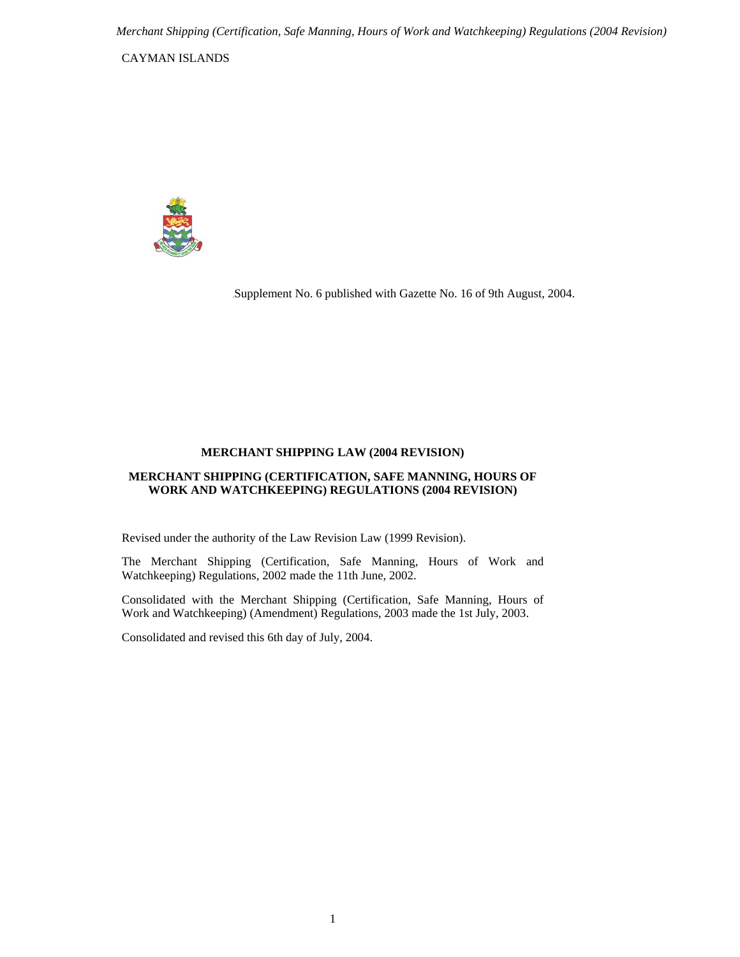CAYMAN ISLANDS



.Supplement No. 6 published with Gazette No. 16 of 9th August, 2004.

#### **MERCHANT SHIPPING LAW (2004 REVISION)**

### **MERCHANT SHIPPING (CERTIFICATION, SAFE MANNING, HOURS OF WORK AND WATCHKEEPING) REGULATIONS (2004 REVISION)**

Revised under the authority of the Law Revision Law (1999 Revision).

The Merchant Shipping (Certification, Safe Manning, Hours of Work and Watchkeeping) Regulations, 2002 made the 11th June, 2002.

Consolidated with the Merchant Shipping (Certification, Safe Manning, Hours of Work and Watchkeeping) (Amendment) Regulations, 2003 made the 1st July, 2003.

Consolidated and revised this 6th day of July, 2004.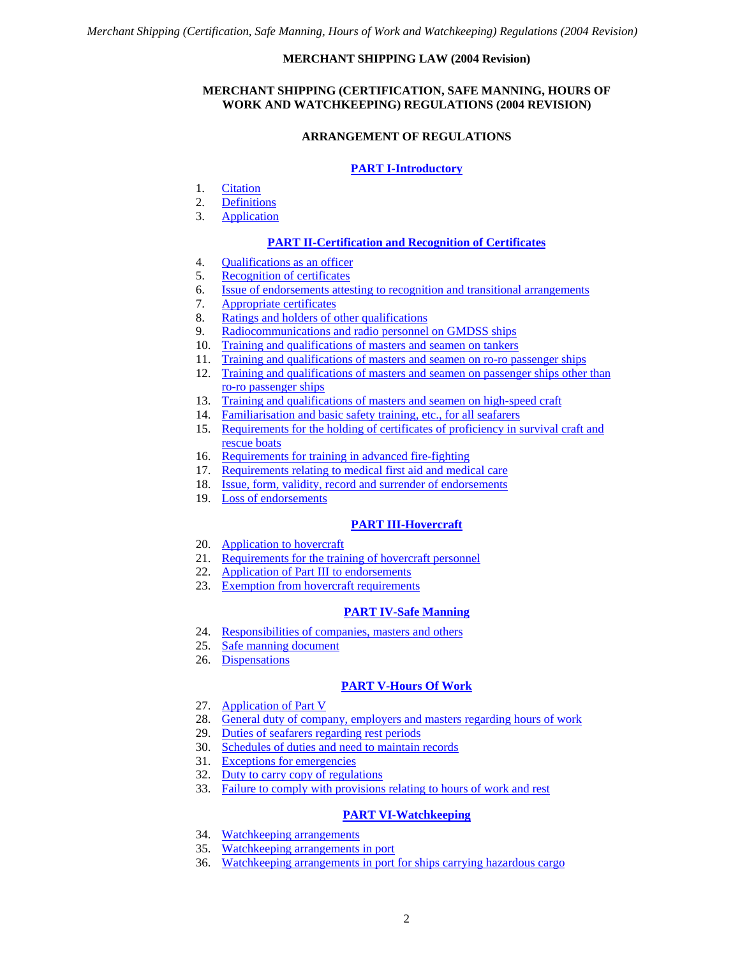# **MERCHANT SHIPPING LAW (2004 Revision)**

# **MERCHANT SHIPPING (CERTIFICATION, SAFE MANNING, HOURS OF WORK AND WATCHKEEPING) REGULATIONS (2004 REVISION)**

# **ARRANGEMENT OF REGULATIONS**

# **[PART I-Introductory](#page-3-0)**

- <span id="page-1-0"></span>1. [Citation](#page-3-1)
- 2. [Definitions](#page-3-2)
- 3. [Application](#page-5-0)

# **[PART II-Certification and Recognition of Certificates](#page-5-1)**

- 4. [Qualifications as an officer](#page-5-2)
- 5. [Recognition of certificates](#page-5-3)
- 6. [Issue of endorsements attesting to recognition and transitional arrangements](#page-6-0)
- 7. [Appropriate certificates](#page-7-0)
- 8. [Ratings and holders of other qualifications](#page-7-1)
- 9. [Radiocommunications and radio personnel on GMDSS ships](#page-8-0)
- 10. [Training and qualifications of masters and seamen on tankers](#page-8-1)
- 11. [Training and qualifications of masters and seamen on ro-ro passenger ships](#page-9-0)
- 12. [Training and qualifications of masters and seamen on passenger ships other than](#page-9-1)  [ro-ro passenger ships](#page-9-1)
- 13. [Training and qualifications of masters and seamen on high-speed craft](#page-10-0)
- 14. [Familiarisation and basic safety training, etc., for all seafarers](#page-10-1)
- 15. [Requirements for the holding of certificates](#page-10-2) of proficiency in survival craft and [rescue boats](#page-10-2)
- 16. [Requirements for training in advanced fire-fighting](#page-11-0)
- 17. [Requirements relating to medical first aid and medical care](#page-11-1)
- 18. [Issue, form, validity, record and surrender of endorsements](#page-11-2)
- 19. [Loss of endorsements](#page-12-0)

# **[PART III-Hovercraft](#page-12-1)**

- 20. [Application to hovercraft](#page-12-2)
- 21. [Requirements for the training of hovercraft personnel](#page-12-3)
- 22. [Application of Part III to endorsements](#page-12-4)
- 23. [Exemption from hovercraft requirements](#page-12-5)

# **[PART IV-Safe Manning](#page-12-6)**

- 24. [Responsibilities of companies, masters and others](#page-12-7)
- 25. [Safe manning document](#page-13-0)
- 26. [Dispensations](#page-14-0)

# **[PART V-Hours Of Work](#page-14-1)**

- 27. [Application of Part V](#page-14-2)
- 28. [General duty of company, employers and masters regarding hours of work](#page-14-3)
- 29. [Duties of seafarers regarding rest periods](#page-15-0)
- 30. [Schedules of duties and need to maintain records](#page-15-1)
- 31. [Exceptions for emergencies](#page-16-0)
- 32. [Duty to carry copy of regulations](#page-16-1)
- 33. [Failure to comply with provisions relating to hours of work and rest](#page-16-2)

# **[PART VI-Watchkeeping](#page-17-0)**

- 34. [Watchkeeping arrangements](#page-17-1)
- 35. [Watchkeeping arrangements in port](#page-17-2)
- 36. [Watchkeeping arrangements in port for ships carrying hazardous cargo](#page-17-3)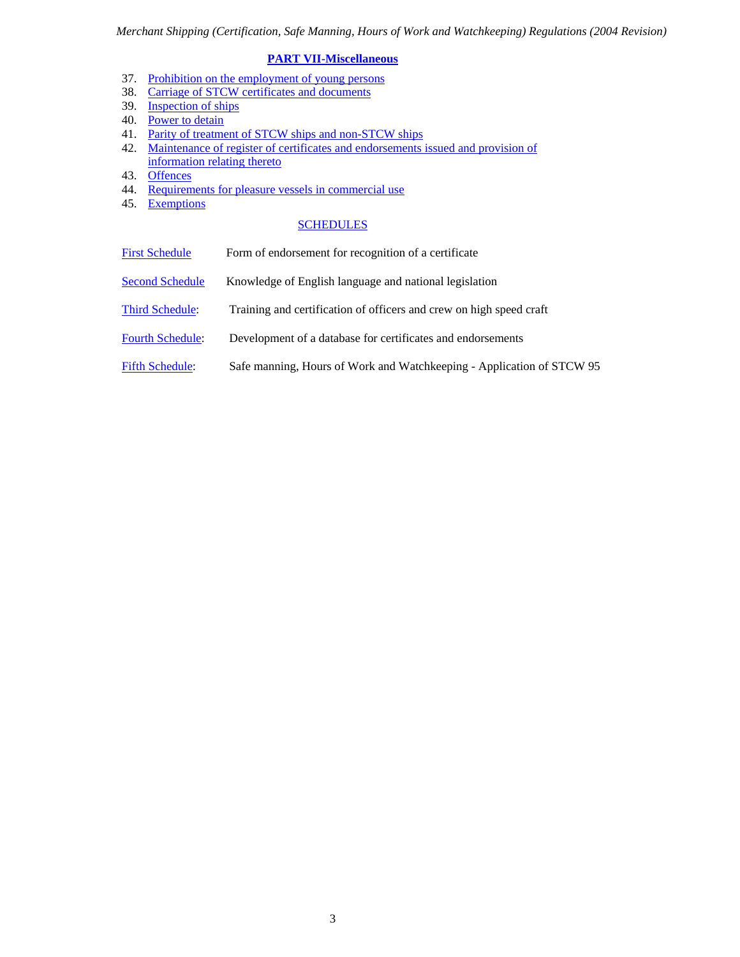# **[PART VII-Miscellaneous](#page-17-4)**

- 37. [Prohibition on the employment of young persons](#page-17-5)
- 38. [Carriage of STCW certificates and documents](#page-17-6)
- 39. [Inspection of ships](#page-17-7)
- 40. [Power to detain](#page-18-0)
- 41. [Parity of treatment of STCW ships and non-STCW ships](#page-19-0)
- 42. [Maintenance of register of certificates and endorsements issued and provision of](#page-19-1)  [information relating thereto](#page-19-1)
- 43. [Offences](#page-19-2)
- 44. [Requirements for pleasure vessels in commercial use](#page-20-0)
- 45. [Exemptions](#page-20-1)

# **[SCHEDULES](#page-21-0)**

- [First Schedule](#page-21-0) Form of endorsement for recognition of a certificate
- [Second Schedule](#page-23-0) Knowledge of English language and national legislation
- [Third Schedule](#page-24-0): Training and certification of officers and crew on high speed craft
- [Fourth Schedule:](#page-29-0) Development of a database for certificates and endorsements
- [Fifth Schedule](#page-30-0): Safe manning, Hours of Work and Watchkeeping Application of STCW 95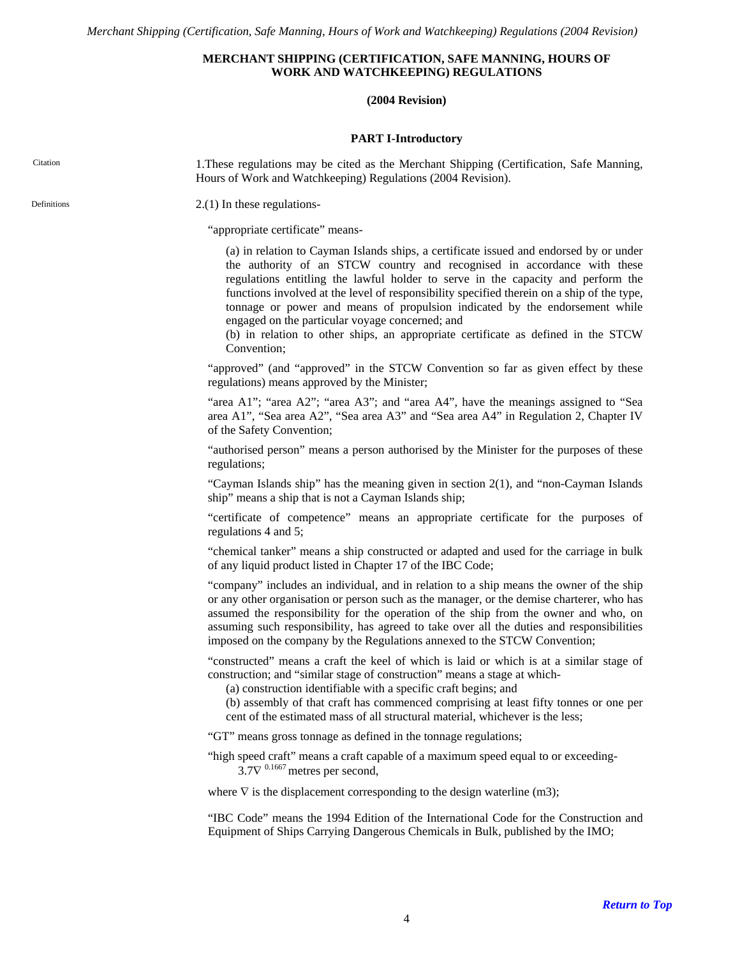# **MERCHANT SHIPPING (CERTIFICATION, SAFE MANNING, HOURS OF WORK AND WATCHKEEPING) REGULATIONS**

# **(2004 Revision)**

### **PART I-Introductory**

<span id="page-3-2"></span><span id="page-3-1"></span><span id="page-3-0"></span>

| Citation    | 1. These regulations may be cited as the Merchant Shipping (Certification, Safe Manning,<br>Hours of Work and Watchkeeping) Regulations (2004 Revision).                                                                                                                                                                                                                                                                                                                                                                                                                                   |
|-------------|--------------------------------------------------------------------------------------------------------------------------------------------------------------------------------------------------------------------------------------------------------------------------------------------------------------------------------------------------------------------------------------------------------------------------------------------------------------------------------------------------------------------------------------------------------------------------------------------|
| Definitions | $2(1)$ In these regulations-                                                                                                                                                                                                                                                                                                                                                                                                                                                                                                                                                               |
|             | "appropriate certificate" means-                                                                                                                                                                                                                                                                                                                                                                                                                                                                                                                                                           |
|             | (a) in relation to Cayman Islands ships, a certificate issued and endorsed by or under<br>the authority of an STCW country and recognised in accordance with these<br>regulations entitling the lawful holder to serve in the capacity and perform the<br>functions involved at the level of responsibility specified therein on a ship of the type,<br>tonnage or power and means of propulsion indicated by the endorsement while<br>engaged on the particular voyage concerned; and<br>(b) in relation to other ships, an appropriate certificate as defined in the STCW<br>Convention; |
|             | "approved" (and "approved" in the STCW Convention so far as given effect by these<br>regulations) means approved by the Minister;                                                                                                                                                                                                                                                                                                                                                                                                                                                          |
|             | "area A1"; "area A2"; "area A3"; and "area A4", have the meanings assigned to "Sea<br>area A1", "Sea area A2", "Sea area A3" and "Sea area A4" in Regulation 2, Chapter IV<br>of the Safety Convention;                                                                                                                                                                                                                                                                                                                                                                                    |
|             | "authorised person" means a person authorised by the Minister for the purposes of these<br>regulations;                                                                                                                                                                                                                                                                                                                                                                                                                                                                                    |
|             | "Cayman Islands ship" has the meaning given in section $2(1)$ , and "non-Cayman Islands"<br>ship" means a ship that is not a Cayman Islands ship;                                                                                                                                                                                                                                                                                                                                                                                                                                          |
|             | "certificate of competence" means an appropriate certificate for the purposes of<br>regulations 4 and 5;                                                                                                                                                                                                                                                                                                                                                                                                                                                                                   |
|             | "chemical tanker" means a ship constructed or adapted and used for the carriage in bulk<br>of any liquid product listed in Chapter 17 of the IBC Code;                                                                                                                                                                                                                                                                                                                                                                                                                                     |
|             | "company" includes an individual, and in relation to a ship means the owner of the ship<br>or any other organisation or person such as the manager, or the demise charterer, who has<br>assumed the responsibility for the operation of the ship from the owner and who, on<br>assuming such responsibility, has agreed to take over all the duties and responsibilities<br>imposed on the company by the Regulations annexed to the STCW Convention;                                                                                                                                      |
|             | "constructed" means a craft the keel of which is laid or which is at a similar stage of<br>construction; and "similar stage of construction" means a stage at which-<br>(a) construction identifiable with a specific craft begins; and<br>(b) assembly of that craft has commenced comprising at least fifty tonnes or one per<br>cent of the estimated mass of all structural material, whichever is the less;                                                                                                                                                                           |
|             | "GT" means gross tonnage as defined in the tonnage regulations;                                                                                                                                                                                                                                                                                                                                                                                                                                                                                                                            |
|             | "high speed craft" means a craft capable of a maximum speed equal to or exceeding-<br>$3.7\nabla^{0.1667}$ metres per second,                                                                                                                                                                                                                                                                                                                                                                                                                                                              |
|             | where $\nabla$ is the displacement corresponding to the design waterline (m3);                                                                                                                                                                                                                                                                                                                                                                                                                                                                                                             |
|             | "IBC Code" means the 1994 Edition of the International Code for the Construction and<br>Equipment of Ships Carrying Dangerous Chemicals in Bulk, published by the IMO;                                                                                                                                                                                                                                                                                                                                                                                                                     |
|             |                                                                                                                                                                                                                                                                                                                                                                                                                                                                                                                                                                                            |
|             | <b>Return to</b>                                                                                                                                                                                                                                                                                                                                                                                                                                                                                                                                                                           |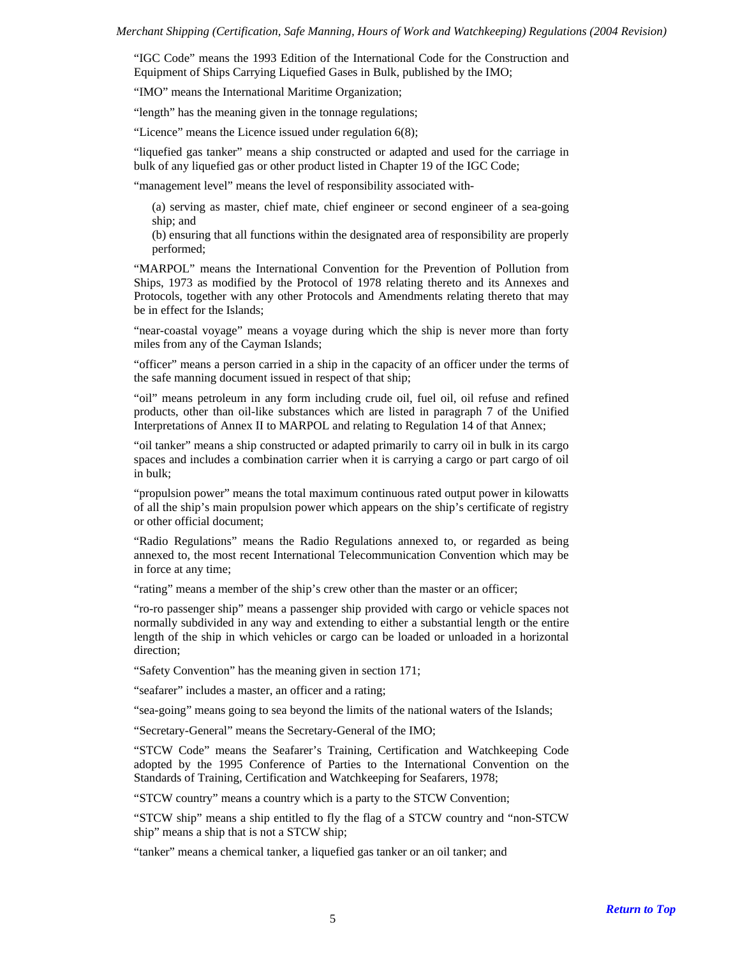"IGC Code" means the 1993 Edition of the International Code for the Construction and Equipment of Ships Carrying Liquefied Gases in Bulk, published by the IMO;

"IMO" means the International Maritime Organization;

"length" has the meaning given in the tonnage regulations;

"Licence" means the Licence issued under regulation 6(8);

"liquefied gas tanker" means a ship constructed or adapted and used for the carriage in bulk of any liquefied gas or other product listed in Chapter 19 of the IGC Code;

"management level" means the level of responsibility associated with-

(a) serving as master, chief mate, chief engineer or second engineer of a sea-going ship; and

(b) ensuring that all functions within the designated area of responsibility are properly performed;

"MARPOL" means the International Convention for the Prevention of Pollution from Ships, 1973 as modified by the Protocol of 1978 relating thereto and its Annexes and Protocols, together with any other Protocols and Amendments relating thereto that may be in effect for the Islands;

"near-coastal voyage" means a voyage during which the ship is never more than forty miles from any of the Cayman Islands;

"officer" means a person carried in a ship in the capacity of an officer under the terms of the safe manning document issued in respect of that ship;

"oil" means petroleum in any form including crude oil, fuel oil, oil refuse and refined products, other than oil-like substances which are listed in paragraph 7 of the Unified Interpretations of Annex II to MARPOL and relating to Regulation 14 of that Annex;

"oil tanker" means a ship constructed or adapted primarily to carry oil in bulk in its cargo spaces and includes a combination carrier when it is carrying a cargo or part cargo of oil in bulk;

"propulsion power" means the total maximum continuous rated output power in kilowatts of all the ship's main propulsion power which appears on the ship's certificate of registry or other official document;

"Radio Regulations" means the Radio Regulations annexed to, or regarded as being annexed to, the most recent International Telecommunication Convention which may be in force at any time;

"rating" means a member of the ship's crew other than the master or an officer;

"ro-ro passenger ship" means a passenger ship provided with cargo or vehicle spaces not normally subdivided in any way and extending to either a substantial length or the entire length of the ship in which vehicles or cargo can be loaded or unloaded in a horizontal direction;

"Safety Convention" has the meaning given in section 171;

"seafarer" includes a master, an officer and a rating;

"sea-going" means going to sea beyond the limits of the national waters of the Islands;

"Secretary-General" means the Secretary-General of the IMO;

"STCW Code" means the Seafarer's Training, Certification and Watchkeeping Code adopted by the 1995 Conference of Parties to the International Convention on the Standards of Training, Certification and Watchkeeping for Seafarers, 1978;

"STCW country" means a country which is a party to the STCW Convention;

"STCW ship" means a ship entitled to fly the flag of a STCW country and "non-STCW ship" means a ship that is not a STCW ship;

"tanker" means a chemical tanker, a liquefied gas tanker or an oil tanker; and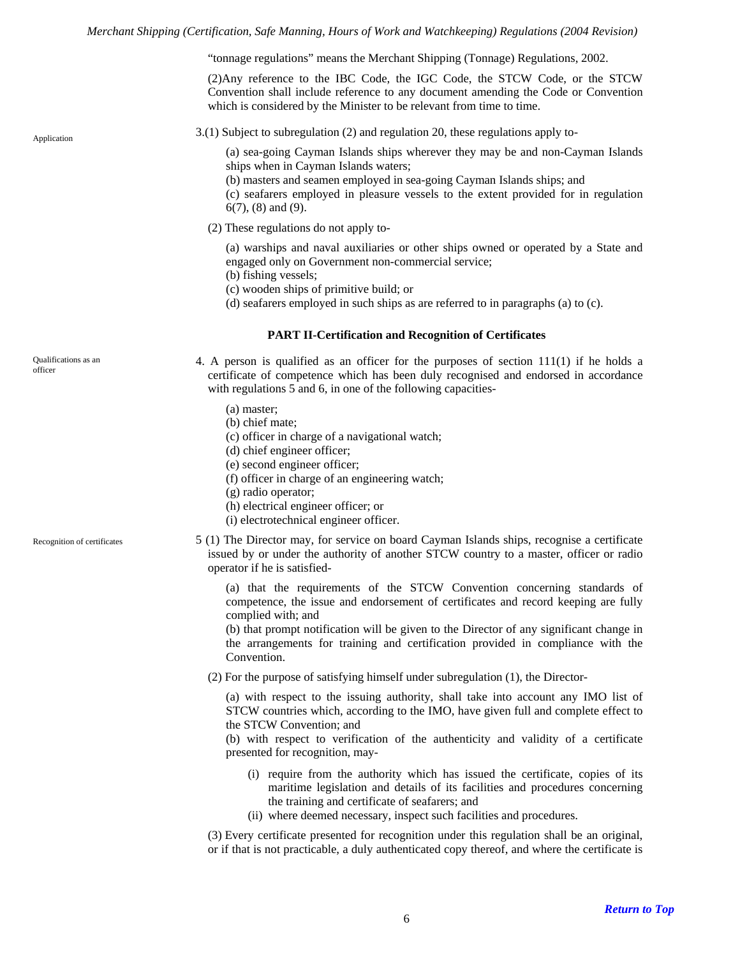"tonnage regulations" means the Merchant Shipping (Tonnage) Regulations, 2002.

(2)Any reference to the IBC Code, the IGC Code, the STCW Code, or the STCW Convention shall include reference to any document amending the Code or Convention which is considered by the Minister to be relevant from time to time.

<span id="page-5-0"></span>

3.(1) Subject to subregulation (2) and regulation 20, these regulations apply to-

(a) sea-going Cayman Islands ships wherever they may be and non-Cayman Islands ships when in Cayman Islands waters;

(b) masters and seamen employed in sea-going Cayman Islands ships; and

(c) seafarers employed in pleasure vessels to the extent provided for in regulation 6(7), (8) and (9).

(2) These regulations do not apply to-

(a) warships and naval auxiliaries or other ships owned or operated by a State and engaged only on Government non-commercial service;

(b) fishing vessels;

- (c) wooden ships of primitive build; or
- (d) seafarers employed in such ships as are referred to in paragraphs (a) to (c).

#### **PART II-Certification and Recognition of Certificates**

<span id="page-5-2"></span><span id="page-5-1"></span>Qualifications as an officer

- 4. A person is qualified as an officer for the purposes of section 111(1) if he holds a certificate of competence which has been duly recognised and endorsed in accordance with regulations 5 and 6, in one of the following capacities-
	- (a) master;
	- (b) chief mate;
	- (c) officer in charge of a navigational watch;
	- (d) chief engineer officer;
	- (e) second engineer officer;
	- (f) officer in charge of an engineering watch;
	- (g) radio operator;
	- (h) electrical engineer officer; or
	- (i) electrotechnical engineer officer.

<span id="page-5-3"></span>Recognition of certificates

5 (1) The Director may, for service on board Cayman Islands ships, recognise a certificate issued by or under the authority of another STCW country to a master, officer or radio operator if he is satisfied-

(a) that the requirements of the STCW Convention concerning standards of competence, the issue and endorsement of certificates and record keeping are fully complied with; and

(b) that prompt notification will be given to the Director of any significant change in the arrangements for training and certification provided in compliance with the Convention.

(2) For the purpose of satisfying himself under subregulation (1), the Director-

(a) with respect to the issuing authority, shall take into account any IMO list of STCW countries which, according to the IMO, have given full and complete effect to the STCW Convention; and

(b) with respect to verification of the authenticity and validity of a certificate presented for recognition, may-

- (i) require from the authority which has issued the certificate, copies of its maritime legislation and details of its facilities and procedures concerning the training and certificate of seafarers; and
- (ii) where deemed necessary, inspect such facilities and procedures.

(3) Every certificate presented for recognition under this regulation shall be an original, or if that is not practicable, a duly authenticated copy thereof, and where the certificate is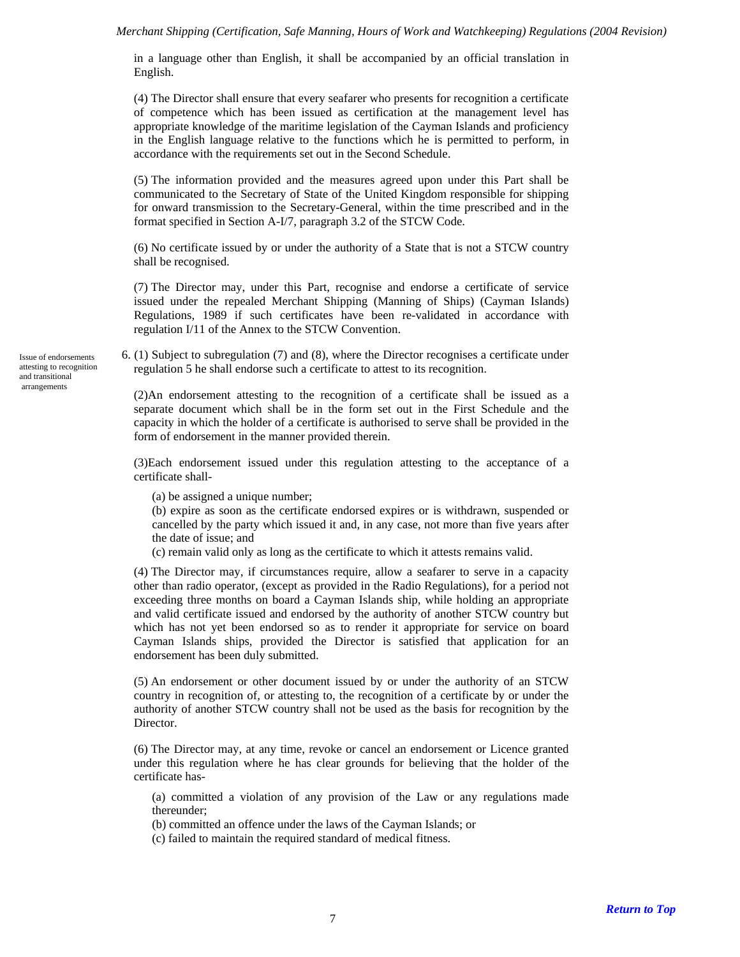in a language other than English, it shall be accompanied by an official translation in English.

(4) The Director shall ensure that every seafarer who presents for recognition a certificate of competence which has been issued as certification at the management level has appropriate knowledge of the maritime legislation of the Cayman Islands and proficiency in the English language relative to the functions which he is permitted to perform, in accordance with the requirements set out in the Second Schedule.

(5) The information provided and the measures agreed upon under this Part shall be communicated to the Secretary of State of the United Kingdom responsible for shipping for onward transmission to the Secretary-General, within the time prescribed and in the format specified in Section A-I/7, paragraph 3.2 of the STCW Code.

(6) No certificate issued by or under the authority of a State that is not a STCW country shall be recognised.

(7) The Director may, under this Part, recognise and endorse a certificate of service issued under the repealed Merchant Shipping (Manning of Ships) (Cayman Islands) Regulations, 1989 if such certificates have been re-validated in accordance with regulation I/11 of the Annex to the STCW Convention.

6. (1) Subject to subregulation (7) and (8), where the Director recognises a certificate under regulation 5 he shall endorse such a certificate to attest to its recognition.

(2)An endorsement attesting to the recognition of a certificate shall be issued as a separate document which shall be in the form set out in the First Schedule and the capacity in which the holder of a certificate is authorised to serve shall be provided in the form of endorsement in the manner provided therein.

(3)Each endorsement issued under this regulation attesting to the acceptance of a certificate shall-

(a) be assigned a unique number;

(b) expire as soon as the certificate endorsed expires or is withdrawn, suspended or cancelled by the party which issued it and, in any case, not more than five years after the date of issue; and

(c) remain valid only as long as the certificate to which it attests remains valid.

(4) The Director may, if circumstances require, allow a seafarer to serve in a capacity other than radio operator, (except as provided in the Radio Regulations), for a period not exceeding three months on board a Cayman Islands ship, while holding an appropriate and valid certificate issued and endorsed by the authority of another STCW country but which has not yet been endorsed so as to render it appropriate for service on board Cayman Islands ships, provided the Director is satisfied that application for an endorsement has been duly submitted.

(5) An endorsement or other document issued by or under the authority of an STCW country in recognition of, or attesting to, the recognition of a certificate by or under the authority of another STCW country shall not be used as the basis for recognition by the Director.

(6) The Director may, at any time, revoke or cancel an endorsement or Licence granted under this regulation where he has clear grounds for believing that the holder of the certificate has-

(a) committed a violation of any provision of the Law or any regulations made thereunder;

(b) committed an offence under the laws of the Cayman Islands; or

(c) failed to maintain the required standard of medical fitness.

<span id="page-6-0"></span>Issue of endorsements attesting to recognition and transitional arrangements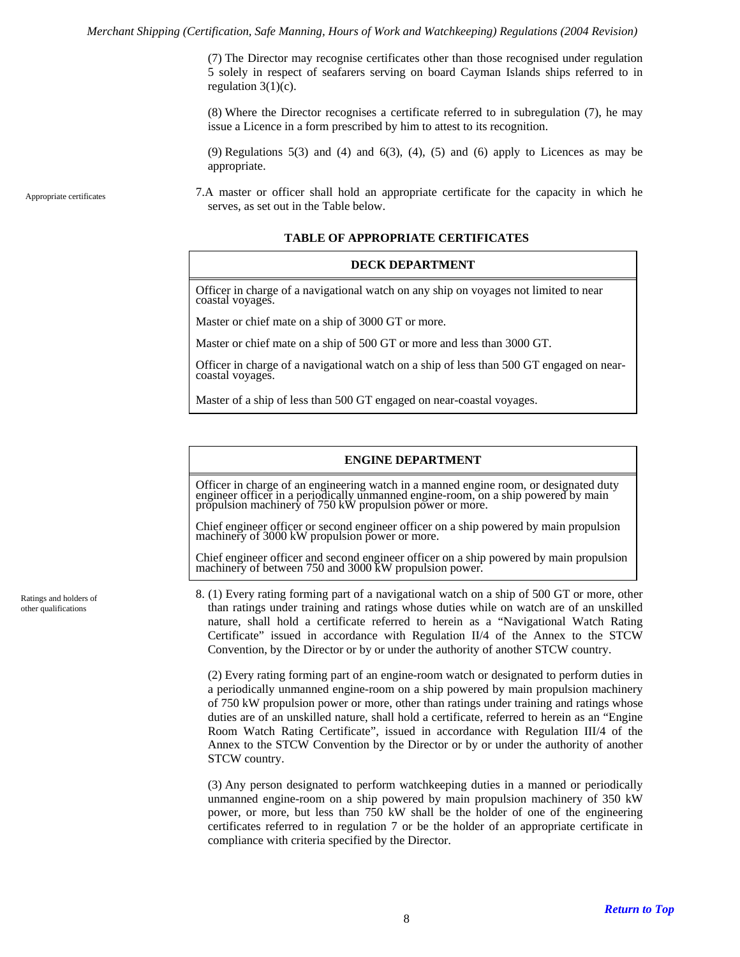(7) The Director may recognise certificates other than those recognised under regulation 5 solely in respect of seafarers serving on board Cayman Islands ships referred to in regulation  $3(1)(c)$ .

(8) Where the Director recognises a certificate referred to in subregulation (7), he may issue a Licence in a form prescribed by him to attest to its recognition.

 $(9)$  Regulations  $5(3)$  and  $(4)$  and  $6(3)$ ,  $(4)$ ,  $(5)$  and  $(6)$  apply to Licences as may be appropriate.

<span id="page-7-0"></span>Appropriate certificates

7.A master or officer shall hold an appropriate certificate for the capacity in which he serves, as set out in the Table below.

#### **TABLE OF APPROPRIATE CERTIFICATES**

#### **DECK DEPARTMENT**

Officer in charge of a navigational watch on any ship on voyages not limited to near coastal voyages.

Master or chief mate on a ship of 3000 GT or more.

Master or chief mate on a ship of 500 GT or more and less than 3000 GT.

Officer in charge of a navigational watch on a ship of less than 500 GT engaged on nearcoastal voyages.

Master of a ship of less than 500 GT engaged on near-coastal voyages.

#### **ENGINE DEPARTMENT**

Officer in charge of an engineering watch in a manned engine room, or designated duty engineer officer in a periodically unmanned engine-room, on a ship powered by main propulsion machinery of 750 kW propulsion power or more.

Chief engineer officer or second engineer officer on a ship powered by main propulsion machinery of 3000 kW propulsion power or more.

Chief engineer officer and second engineer officer on a ship powered by main propulsion machinery of between 750 and 3000 kW propulsion power.

<span id="page-7-1"></span>Ratings and holders of other qualifications

8. (1) Every rating forming part of a navigational watch on a ship of 500 GT or more, other than ratings under training and ratings whose duties while on watch are of an unskilled nature, shall hold a certificate referred to herein as a "Navigational Watch Rating Certificate" issued in accordance with Regulation II/4 of the Annex to the STCW Convention, by the Director or by or under the authority of another STCW country.

(2) Every rating forming part of an engine-room watch or designated to perform duties in a periodically unmanned engine-room on a ship powered by main propulsion machinery of 750 kW propulsion power or more, other than ratings under training and ratings whose duties are of an unskilled nature, shall hold a certificate, referred to herein as an "Engine Room Watch Rating Certificate", issued in accordance with Regulation III/4 of the Annex to the STCW Convention by the Director or by or under the authority of another STCW country.

(3) Any person designated to perform watchkeeping duties in a manned or periodically unmanned engine-room on a ship powered by main propulsion machinery of 350 kW power, or more, but less than 750 kW shall be the holder of one of the engineering certificates referred to in regulation 7 or be the holder of an appropriate certificate in compliance with criteria specified by the Director.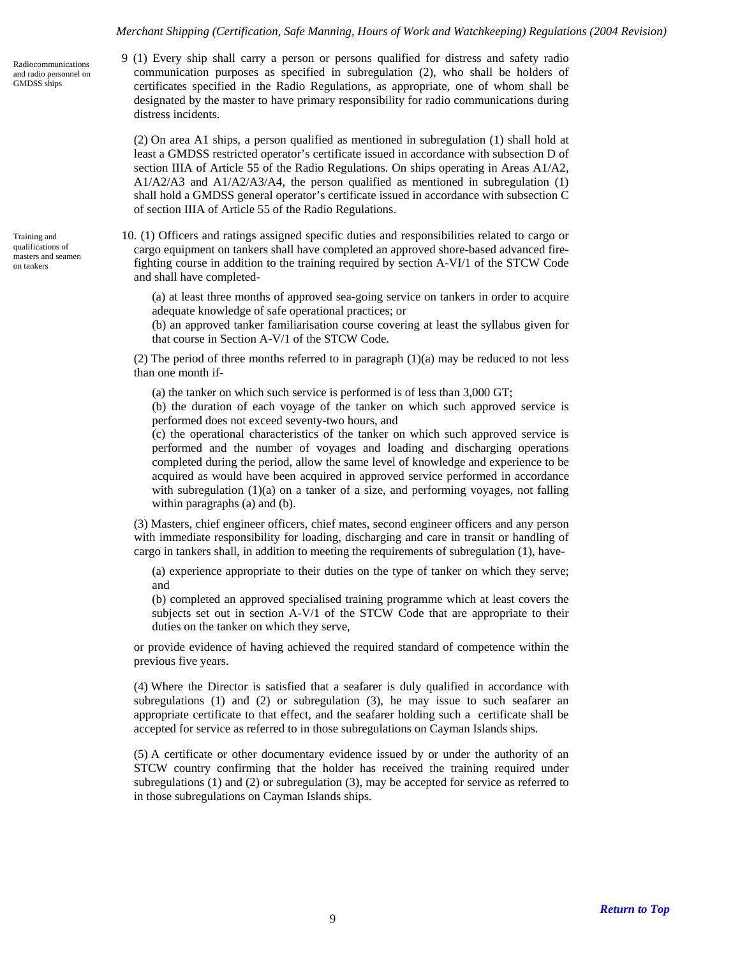9 (1) Every ship shall carry a person or persons qualified for distress and safety radio communication purposes as specified in subregulation (2), who shall be holders of certificates specified in the Radio Regulations, as appropriate, one of whom shall be designated by the master to have primary responsibility for radio communications during distress incidents.

(2) On area A1 ships, a person qualified as mentioned in subregulation (1) shall hold at least a GMDSS restricted operator's certificate issued in accordance with subsection D of section IIIA of Article 55 of the Radio Regulations. On ships operating in Areas A1/A2,  $A1/A2/A3$  and  $A1/A2/A3/A4$ , the person qualified as mentioned in subregulation (1) shall hold a GMDSS general operator's certificate issued in accordance with subsection C of section IIIA of Article 55 of the Radio Regulations.

10. (1) Officers and ratings assigned specific duties and responsibilities related to cargo or cargo equipment on tankers shall have completed an approved shore-based advanced firefighting course in addition to the training required by section A-VI/1 of the STCW Code and shall have completed-

(a) at least three months of approved sea-going service on tankers in order to acquire adequate knowledge of safe operational practices; or

(b) an approved tanker familiarisation course covering at least the syllabus given for that course in Section A-V/1 of the STCW Code.

(2) The period of three months referred to in paragraph  $(1)(a)$  may be reduced to not less than one month if-

(a) the tanker on which such service is performed is of less than 3,000 GT;

(b) the duration of each voyage of the tanker on which such approved service is performed does not exceed seventy-two hours, and

(c) the operational characteristics of the tanker on which such approved service is performed and the number of voyages and loading and discharging operations completed during the period, allow the same level of knowledge and experience to be acquired as would have been acquired in approved service performed in accordance with subregulation (1)(a) on a tanker of a size, and performing voyages, not falling within paragraphs (a) and (b).

(3) Masters, chief engineer officers, chief mates, second engineer officers and any person with immediate responsibility for loading, discharging and care in transit or handling of cargo in tankers shall, in addition to meeting the requirements of subregulation (1), have-

(a) experience appropriate to their duties on the type of tanker on which they serve; and

(b) completed an approved specialised training programme which at least covers the subjects set out in section A-V/1 of the STCW Code that are appropriate to their duties on the tanker on which they serve,

or provide evidence of having achieved the required standard of competence within the previous five years.

(4) Where the Director is satisfied that a seafarer is duly qualified in accordance with subregulations (1) and (2) or subregulation (3), he may issue to such seafarer an appropriate certificate to that effect, and the seafarer holding such a certificate shall be accepted for service as referred to in those subregulations on Cayman Islands ships.

(5) A certificate or other documentary evidence issued by or under the authority of an STCW country confirming that the holder has received the training required under subregulations (1) and (2) or subregulation (3), may be accepted for service as referred to in those subregulations on Cayman Islands ships.

<span id="page-8-0"></span>Radiocommunications and radio personnel on GMDSS ships

<span id="page-8-1"></span>Training and qualifications of masters and seamen on tankers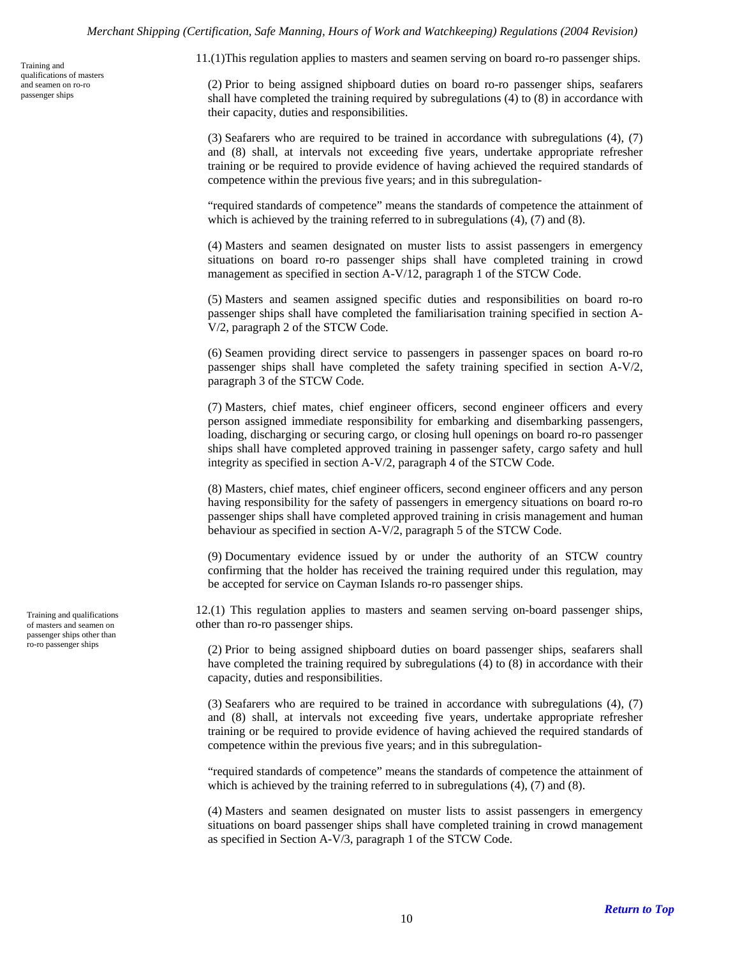qualifications of masters and seamen on ro-ro passenger ships

<span id="page-9-0"></span>11.(1)This regulation applies to masters and seamen serving on board ro-ro passenger ships. Training and

(2) Prior to being assigned shipboard duties on board ro-ro passenger ships, seafarers shall have completed the training required by subregulations (4) to (8) in accordance with their capacity, duties and responsibilities.

(3) Seafarers who are required to be trained in accordance with subregulations (4), (7) and (8) shall, at intervals not exceeding five years, undertake appropriate refresher training or be required to provide evidence of having achieved the required standards of competence within the previous five years; and in this subregulation-

"required standards of competence" means the standards of competence the attainment of which is achieved by the training referred to in subregulations  $(4)$ ,  $(7)$  and  $(8)$ .

(4) Masters and seamen designated on muster lists to assist passengers in emergency situations on board ro-ro passenger ships shall have completed training in crowd management as specified in section A-V/12, paragraph 1 of the STCW Code.

(5) Masters and seamen assigned specific duties and responsibilities on board ro-ro passenger ships shall have completed the familiarisation training specified in section A-V/2, paragraph 2 of the STCW Code.

(6) Seamen providing direct service to passengers in passenger spaces on board ro-ro passenger ships shall have completed the safety training specified in section A-V/2, paragraph 3 of the STCW Code.

(7) Masters, chief mates, chief engineer officers, second engineer officers and every person assigned immediate responsibility for embarking and disembarking passengers, loading, discharging or securing cargo, or closing hull openings on board ro-ro passenger ships shall have completed approved training in passenger safety, cargo safety and hull integrity as specified in section A-V/2, paragraph 4 of the STCW Code.

(8) Masters, chief mates, chief engineer officers, second engineer officers and any person having responsibility for the safety of passengers in emergency situations on board ro-ro passenger ships shall have completed approved training in crisis management and human behaviour as specified in section A-V/2, paragraph 5 of the STCW Code.

(9) Documentary evidence issued by or under the authority of an STCW country confirming that the holder has received the training required under this regulation, may be accepted for service on Cayman Islands ro-ro passenger ships.

12.(1) This regulation applies to masters and seamen serving on-board passenger ships, other than ro-ro passenger ships.

(2) Prior to being assigned shipboard duties on board passenger ships, seafarers shall have completed the training required by subregulations (4) to (8) in accordance with their capacity, duties and responsibilities.

(3) Seafarers who are required to be trained in accordance with subregulations (4), (7) and (8) shall, at intervals not exceeding five years, undertake appropriate refresher training or be required to provide evidence of having achieved the required standards of competence within the previous five years; and in this subregulation-

"required standards of competence" means the standards of competence the attainment of which is achieved by the training referred to in subregulations (4), (7) and (8).

(4) Masters and seamen designated on muster lists to assist passengers in emergency situations on board passenger ships shall have completed training in crowd management as specified in Section A-V/3, paragraph 1 of the STCW Code.

<span id="page-9-1"></span>Training and qualifications of masters and seamen on passenger ships other than<br>ro-ro passenger ships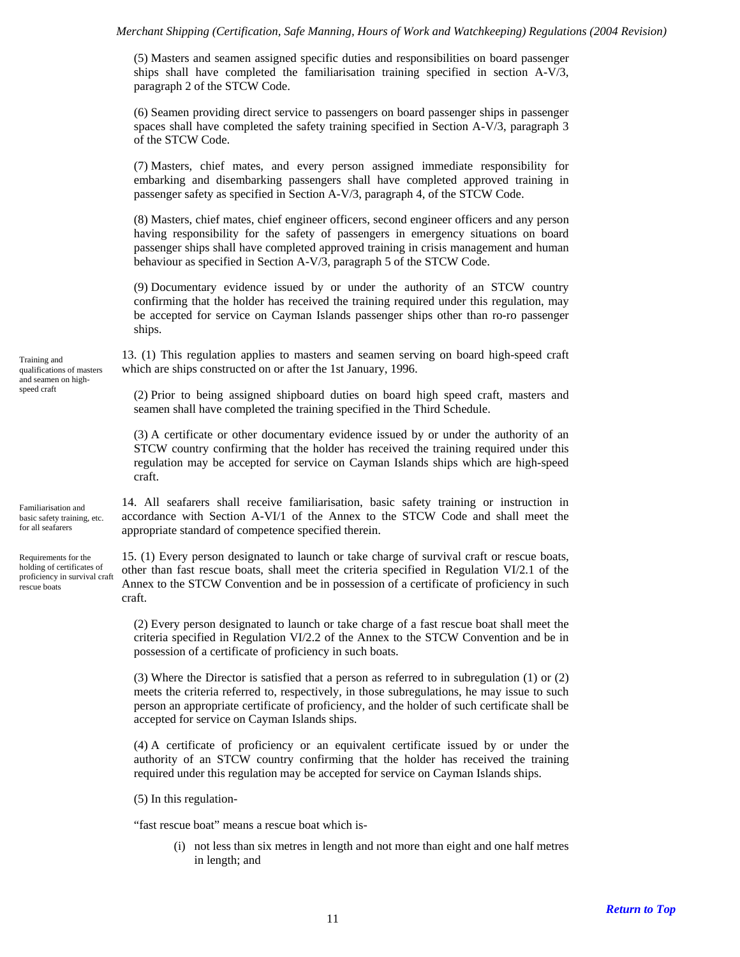(5) Masters and seamen assigned specific duties and responsibilities on board passenger ships shall have completed the familiarisation training specified in section A-V/3, paragraph 2 of the STCW Code.

(6) Seamen providing direct service to passengers on board passenger ships in passenger spaces shall have completed the safety training specified in Section A-V/3, paragraph 3 of the STCW Code.

(7) Masters, chief mates, and every person assigned immediate responsibility for embarking and disembarking passengers shall have completed approved training in passenger safety as specified in Section A-V/3, paragraph 4, of the STCW Code.

(8) Masters, chief mates, chief engineer officers, second engineer officers and any person having responsibility for the safety of passengers in emergency situations on board passenger ships shall have completed approved training in crisis management and human behaviour as specified in Section A-V/3, paragraph 5 of the STCW Code.

(9) Documentary evidence issued by or under the authority of an STCW country confirming that the holder has received the training required under this regulation, may be accepted for service on Cayman Islands passenger ships other than ro-ro passenger ships.

<span id="page-10-0"></span>13. (1) This regulation applies to masters and seamen serving on board high-speed craft Training and<br>qualifications of masters which are ships constructed on or after the 1st January, 1996.

speed craft (2) Prior to being assigned shipboard duties on board high speed craft, masters and seamen shall have completed the training specified in the Third Schedule.

> (3) A certificate or other documentary evidence issued by or under the authority of an STCW country confirming that the holder has received the training required under this regulation may be accepted for service on Cayman Islands ships which are high-speed craft.

14. All seafarers shall receive familiarisation, basic safety training or instruction in accordance with Section A-VI/1 of the Annex to the STCW Code and shall meet the appropriate standard of competence specified therein.

15. (1) Every person designated to launch or take charge of survival craft or rescue boats, other than fast rescue boats, shall meet the criteria specified in Regulation VI/2.1 of the Annex to the STCW Convention and be in possession of a certificate of proficiency in such craft.

(2) Every person designated to launch or take charge of a fast rescue boat shall meet the criteria specified in Regulation VI/2.2 of the Annex to the STCW Convention and be in possession of a certificate of proficiency in such boats.

(3) Where the Director is satisfied that a person as referred to in subregulation (1) or (2) meets the criteria referred to, respectively, in those subregulations, he may issue to such person an appropriate certificate of proficiency, and the holder of such certificate shall be accepted for service on Cayman Islands ships.

(4) A certificate of proficiency or an equivalent certificate issued by or under the authority of an STCW country confirming that the holder has received the training required under this regulation may be accepted for service on Cayman Islands ships.

(5) In this regulation-

"fast rescue boat" means a rescue boat which is-

(i) not less than six metres in length and not more than eight and one half metres in length; and

qualifications of masters and seamen on high-

<span id="page-10-1"></span>Familiarisation and basic safety training, etc. for all seafarers

<span id="page-10-2"></span>Requirements for the holding of certificates of proficiency in survival craft rescue boats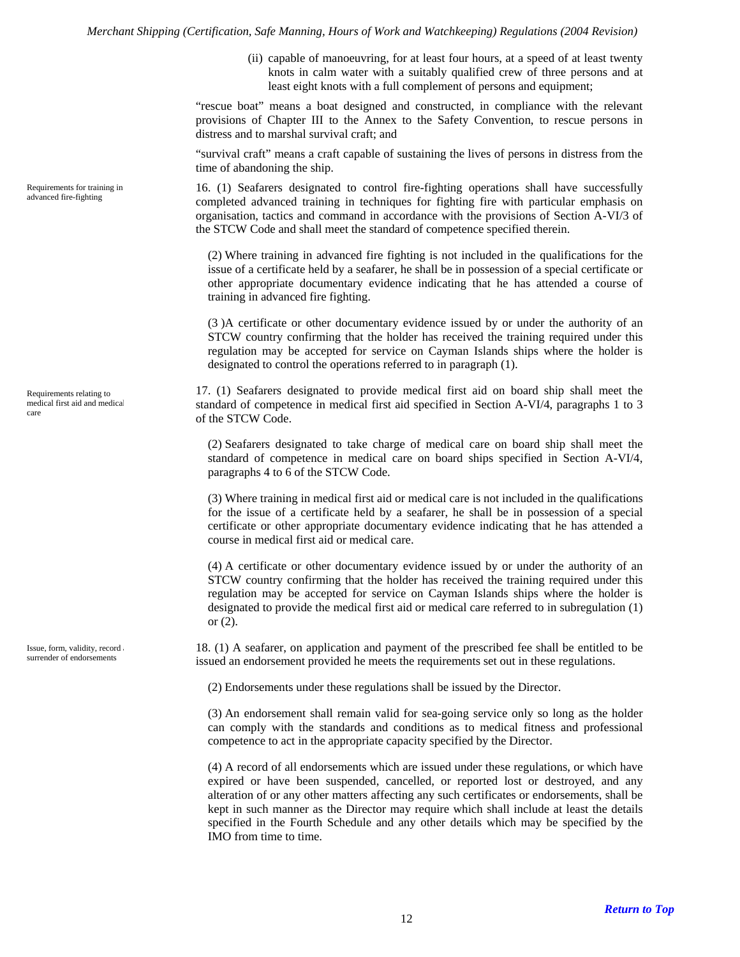(ii) capable of manoeuvring, for at least four hours, at a speed of at least twenty knots in calm water with a suitably qualified crew of three persons and at least eight knots with a full complement of persons and equipment;

"rescue boat" means a boat designed and constructed, in compliance with the relevant provisions of Chapter III to the Annex to the Safety Convention, to rescue persons in distress and to marshal survival craft; and

"survival craft" means a craft capable of sustaining the lives of persons in distress from the time of abandoning the ship.

16. (1) Seafarers designated to control fire-fighting operations shall have successfully completed advanced training in techniques for fighting fire with particular emphasis on organisation, tactics and command in accordance with the provisions of Section A-VI/3 of the STCW Code and shall meet the standard of competence specified therein.

(2) Where training in advanced fire fighting is not included in the qualifications for the issue of a certificate held by a seafarer, he shall be in possession of a special certificate or other appropriate documentary evidence indicating that he has attended a course of training in advanced fire fighting.

(3 )A certificate or other documentary evidence issued by or under the authority of an STCW country confirming that the holder has received the training required under this regulation may be accepted for service on Cayman Islands ships where the holder is designated to control the operations referred to in paragraph (1).

17. (1) Seafarers designated to provide medical first aid on board ship shall meet the standard of competence in medical first aid specified in Section A-VI/4, paragraphs 1 to 3 of the STCW Code.

(2) Seafarers designated to take charge of medical care on board ship shall meet the standard of competence in medical care on board ships specified in Section A-VI/4, paragraphs 4 to 6 of the STCW Code.

(3) Where training in medical first aid or medical care is not included in the qualifications for the issue of a certificate held by a seafarer, he shall be in possession of a special certificate or other appropriate documentary evidence indicating that he has attended a course in medical first aid or medical care.

(4) A certificate or other documentary evidence issued by or under the authority of an STCW country confirming that the holder has received the training required under this regulation may be accepted for service on Cayman Islands ships where the holder is designated to provide the medical first aid or medical care referred to in subregulation (1) or (2).

18. (1) A seafarer, on application and payment of the prescribed fee shall be entitled to be issued an endorsement provided he meets the requirements set out in these regulations.

(2) Endorsements under these regulations shall be issued by the Director.

(3) An endorsement shall remain valid for sea-going service only so long as the holder can comply with the standards and conditions as to medical fitness and professional competence to act in the appropriate capacity specified by the Director.

(4) A record of all endorsements which are issued under these regulations, or which have expired or have been suspended, cancelled, or reported lost or destroyed, and any alteration of or any other matters affecting any such certificates or endorsements, shall be kept in such manner as the Director may require which shall include at least the details specified in the Fourth Schedule and any other details which may be specified by the IMO from time to time.

<span id="page-11-0"></span>Requirements for training in advanced fire-fighting

<span id="page-11-1"></span>Requirements relating to medical first aid and medical care

<span id="page-11-2"></span>Issue, form, validity, record surrender of endorsements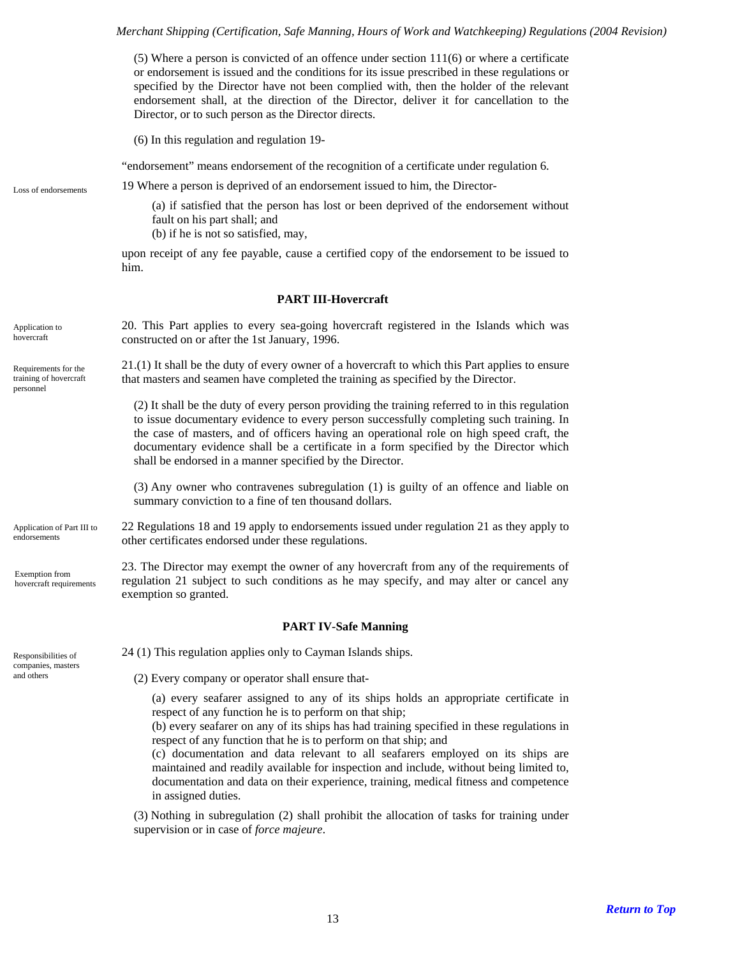<span id="page-12-3"></span><span id="page-12-2"></span><span id="page-12-1"></span><span id="page-12-0"></span>(5) Where a person is convicted of an offence under section 111(6) or where a certificate or endorsement is issued and the conditions for its issue prescribed in these regulations or specified by the Director have not been complied with, then the holder of the relevant endorsement shall, at the direction of the Director, deliver it for cancellation to the Director, or to such person as the Director directs. (6) In this regulation and regulation 19- "endorsement" means endorsement of the recognition of a certificate under regulation 6. 19 Where a person is deprived of an endorsement issued to him, the Director- Loss of endorsements (a) if satisfied that the person has lost or been deprived of the endorsement without fault on his part shall; and (b) if he is not so satisfied, may, upon receipt of any fee payable, cause a certified copy of the endorsement to be issued to him. **PART III-Hovercraft**  20. This Part applies to every sea-going hovercraft registered in the Islands which was constructed on or after the 1st January, 1996. Application to hovercraft 21.(1) It shall be the duty of every owner of a hovercraft to which this Part applies to ensure that masters and seamen have completed the training as specified by the Director. Requirements for the training of hovercraft personnel (2) It shall be the duty of every person providing the training referred to in this regulation to issue documentary evidence to every person successfully completing such training. In the case of masters, and of officers having an operational role on high speed craft, the documentary evidence shall be a certificate in a form specified by the Director which shall be endorsed in a manner specified by the Director. (3) Any owner who contravenes subregulation (1) is guilty of an offence and liable on summary conviction to a fine of ten thousand dollars. 22 Regulations 18 and 19 apply to endorsements issued under regulation 21 as they apply to other certificates endorsed under these regulations. Application of Part III to endorsements 23. The Director may exempt the owner of any hovercraft from any of the requirements of regulation 21 subject to such conditions as he may specify, and may alter or cancel any exemption so granted. Exemption from hovercraft requirements **PART IV-Safe Manning**  Responsibilities of  $24 (1)$  This regulation applies only to Cayman Islands ships. companies, masters  $(2)$  Every company or operator shall ensure that-(a) every seafarer assigned to any of its ships holds an appropriate certificate in respect of any function he is to perform on that ship; (b) every seafarer on any of its ships has had training specified in these regulations in respect of any function that he is to perform on that ship; and (c) documentation and data relevant to all seafarers employed on its ships are maintained and readily available for inspection and include, without being limited to, documentation and data on their experience, training, medical fitness and competence in assigned duties.

> <span id="page-12-7"></span><span id="page-12-6"></span><span id="page-12-5"></span><span id="page-12-4"></span>(3) Nothing in subregulation (2) shall prohibit the allocation of tasks for training under supervision or in case of *force majeure*.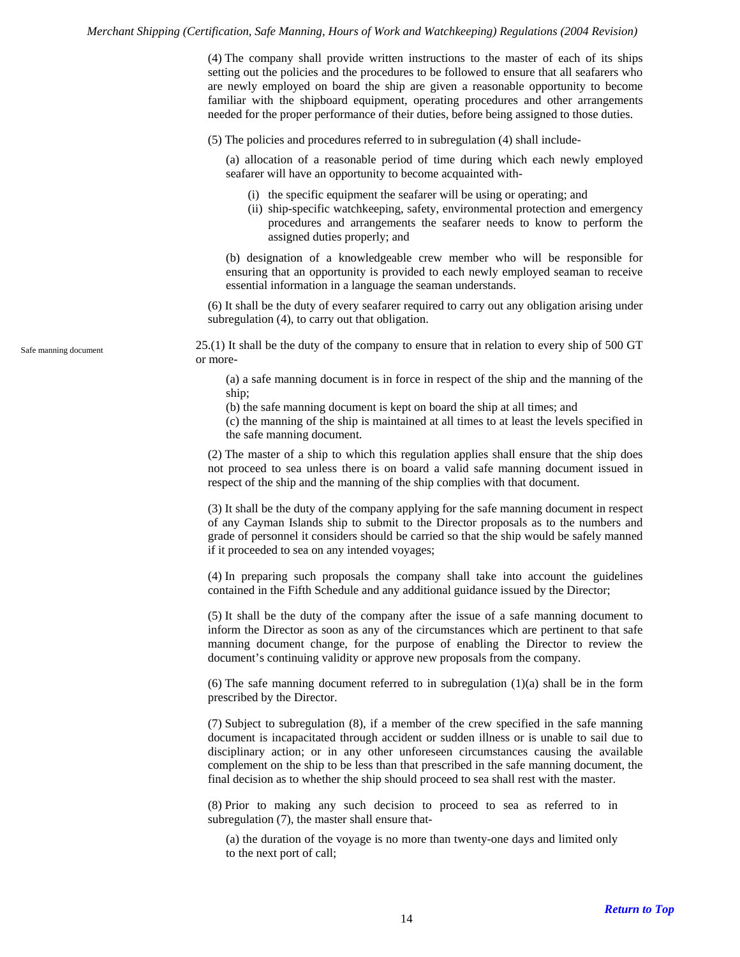(4) The company shall provide written instructions to the master of each of its ships setting out the policies and the procedures to be followed to ensure that all seafarers who are newly employed on board the ship are given a reasonable opportunity to become familiar with the shipboard equipment, operating procedures and other arrangements needed for the proper performance of their duties, before being assigned to those duties.

(5) The policies and procedures referred to in subregulation (4) shall include-

(a) allocation of a reasonable period of time during which each newly employed seafarer will have an opportunity to become acquainted with-

- (i) the specific equipment the seafarer will be using or operating; and
- (ii) ship-specific watchkeeping, safety, environmental protection and emergency procedures and arrangements the seafarer needs to know to perform the assigned duties properly; and

(b) designation of a knowledgeable crew member who will be responsible for ensuring that an opportunity is provided to each newly employed seaman to receive essential information in a language the seaman understands.

(6) It shall be the duty of every seafarer required to carry out any obligation arising under subregulation (4), to carry out that obligation.

25.(1) It shall be the duty of the company to ensure that in relation to every ship of 500 GT or more-

(a) a safe manning document is in force in respect of the ship and the manning of the ship;

(b) the safe manning document is kept on board the ship at all times; and

(c) the manning of the ship is maintained at all times to at least the levels specified in the safe manning document.

(2) The master of a ship to which this regulation applies shall ensure that the ship does not proceed to sea unless there is on board a valid safe manning document issued in respect of the ship and the manning of the ship complies with that document.

(3) It shall be the duty of the company applying for the safe manning document in respect of any Cayman Islands ship to submit to the Director proposals as to the numbers and grade of personnel it considers should be carried so that the ship would be safely manned if it proceeded to sea on any intended voyages;

(4) In preparing such proposals the company shall take into account the guidelines contained in the Fifth Schedule and any additional guidance issued by the Director;

(5) It shall be the duty of the company after the issue of a safe manning document to inform the Director as soon as any of the circumstances which are pertinent to that safe manning document change, for the purpose of enabling the Director to review the document's continuing validity or approve new proposals from the company.

(6) The safe manning document referred to in subregulation  $(1)(a)$  shall be in the form prescribed by the Director.

(7) Subject to subregulation (8), if a member of the crew specified in the safe manning document is incapacitated through accident or sudden illness or is unable to sail due to disciplinary action; or in any other unforeseen circumstances causing the available complement on the ship to be less than that prescribed in the safe manning document, the final decision as to whether the ship should proceed to sea shall rest with the master.

(8) Prior to making any such decision to proceed to sea as referred to in subregulation (7), the master shall ensure that-

(a) the duration of the voyage is no more than twenty-one days and limited only to the next port of call;

<span id="page-13-0"></span>Safe manning document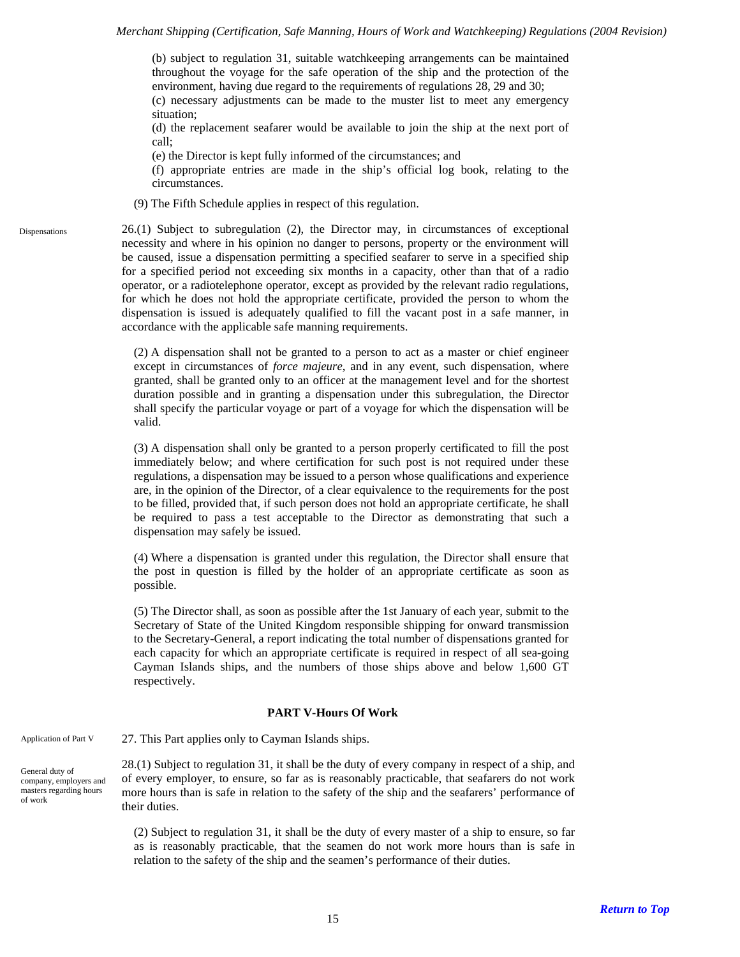(b) subject to regulation 31, suitable watchkeeping arrangements can be maintained throughout the voyage for the safe operation of the ship and the protection of the environment, having due regard to the requirements of regulations 28, 29 and 30; (c) necessary adjustments can be made to the muster list to meet any emergency situation;

(d) the replacement seafarer would be available to join the ship at the next port of call;

(e) the Director is kept fully informed of the circumstances; and

(f) appropriate entries are made in the ship's official log book, relating to the circumstances.

(9) The Fifth Schedule applies in respect of this regulation.

26.(1) Subject to subregulation (2), the Director may, in circumstances of exceptional necessity and where in his opinion no danger to persons, property or the environment will be caused, issue a dispensation permitting a specified seafarer to serve in a specified ship for a specified period not exceeding six months in a capacity, other than that of a radio operator, or a radiotelephone operator, except as provided by the relevant radio regulations, for which he does not hold the appropriate certificate, provided the person to whom the dispensation is issued is adequately qualified to fill the vacant post in a safe manner, in accordance with the applicable safe manning requirements.

(2) A dispensation shall not be granted to a person to act as a master or chief engineer except in circumstances of *force majeure*, and in any event, such dispensation, where granted, shall be granted only to an officer at the management level and for the shortest duration possible and in granting a dispensation under this subregulation, the Director shall specify the particular voyage or part of a voyage for which the dispensation will be valid.

(3) A dispensation shall only be granted to a person properly certificated to fill the post immediately below; and where certification for such post is not required under these regulations, a dispensation may be issued to a person whose qualifications and experience are, in the opinion of the Director, of a clear equivalence to the requirements for the post to be filled, provided that, if such person does not hold an appropriate certificate, he shall be required to pass a test acceptable to the Director as demonstrating that such a dispensation may safely be issued.

(4) Where a dispensation is granted under this regulation, the Director shall ensure that the post in question is filled by the holder of an appropriate certificate as soon as possible.

(5) The Director shall, as soon as possible after the 1st January of each year, submit to the Secretary of State of the United Kingdom responsible shipping for onward transmission to the Secretary-General, a report indicating the total number of dispensations granted for each capacity for which an appropriate certificate is required in respect of all sea-going Cayman Islands ships, and the numbers of those ships above and below 1,600 GT respectively.

### **PART V-Hours Of Work**

<span id="page-14-2"></span><span id="page-14-1"></span>Application of Part V 27. This Part applies only to Cayman Islands ships.

<span id="page-14-0"></span>Dispensations

<span id="page-14-3"></span>General duty of company, employers and masters regarding hours of work

28.(1) Subject to regulation 31, it shall be the duty of every company in respect of a ship, and of every employer, to ensure, so far as is reasonably practicable, that seafarers do not work more hours than is safe in relation to the safety of the ship and the seafarers' performance of their duties.

(2) Subject to regulation 31, it shall be the duty of every master of a ship to ensure, so far as is reasonably practicable, that the seamen do not work more hours than is safe in relation to the safety of the ship and the seamen's performance of their duties.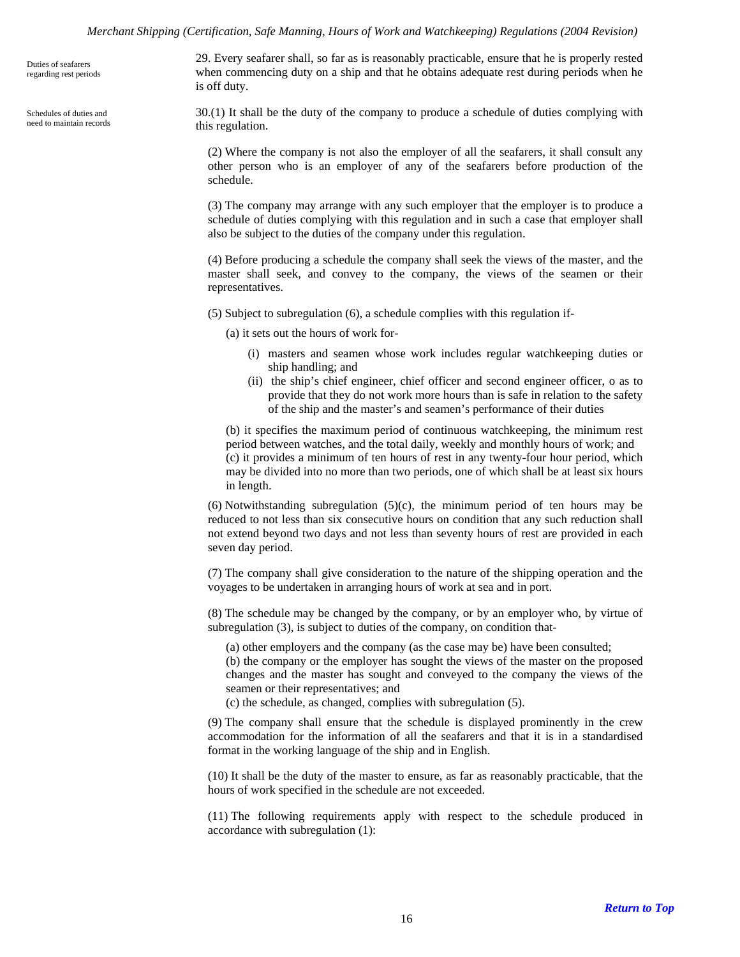<span id="page-15-0"></span>Duties of seafarers regarding rest periods

<span id="page-15-1"></span>Schedules of duties and need to maintain records 29. Every seafarer shall, so far as is reasonably practicable, ensure that he is properly rested when commencing duty on a ship and that he obtains adequate rest during periods when he is off duty.

30.(1) It shall be the duty of the company to produce a schedule of duties complying with this regulation.

(2) Where the company is not also the employer of all the seafarers, it shall consult any other person who is an employer of any of the seafarers before production of the schedule.

(3) The company may arrange with any such employer that the employer is to produce a schedule of duties complying with this regulation and in such a case that employer shall also be subject to the duties of the company under this regulation.

(4) Before producing a schedule the company shall seek the views of the master, and the master shall seek, and convey to the company, the views of the seamen or their representatives.

(5) Subject to subregulation (6), a schedule complies with this regulation if-

(a) it sets out the hours of work for-

- (i) masters and seamen whose work includes regular watchkeeping duties or ship handling; and
- (ii) the ship's chief engineer, chief officer and second engineer officer, o as to provide that they do not work more hours than is safe in relation to the safety of the ship and the master's and seamen's performance of their duties

(b) it specifies the maximum period of continuous watchkeeping, the minimum rest period between watches, and the total daily, weekly and monthly hours of work; and (c) it provides a minimum of ten hours of rest in any twenty-four hour period, which may be divided into no more than two periods, one of which shall be at least six hours in length.

 $(6)$  Notwithstanding subregulation  $(5)(c)$ , the minimum period of ten hours may be reduced to not less than six consecutive hours on condition that any such reduction shall not extend beyond two days and not less than seventy hours of rest are provided in each seven day period.

(7) The company shall give consideration to the nature of the shipping operation and the voyages to be undertaken in arranging hours of work at sea and in port.

(8) The schedule may be changed by the company, or by an employer who, by virtue of subregulation (3), is subject to duties of the company, on condition that-

(a) other employers and the company (as the case may be) have been consulted;

(b) the company or the employer has sought the views of the master on the proposed changes and the master has sought and conveyed to the company the views of the seamen or their representatives; and

(c) the schedule, as changed, complies with subregulation (5).

(9) The company shall ensure that the schedule is displayed prominently in the crew accommodation for the information of all the seafarers and that it is in a standardised format in the working language of the ship and in English.

(10) It shall be the duty of the master to ensure, as far as reasonably practicable, that the hours of work specified in the schedule are not exceeded.

(11) The following requirements apply with respect to the schedule produced in accordance with subregulation (1):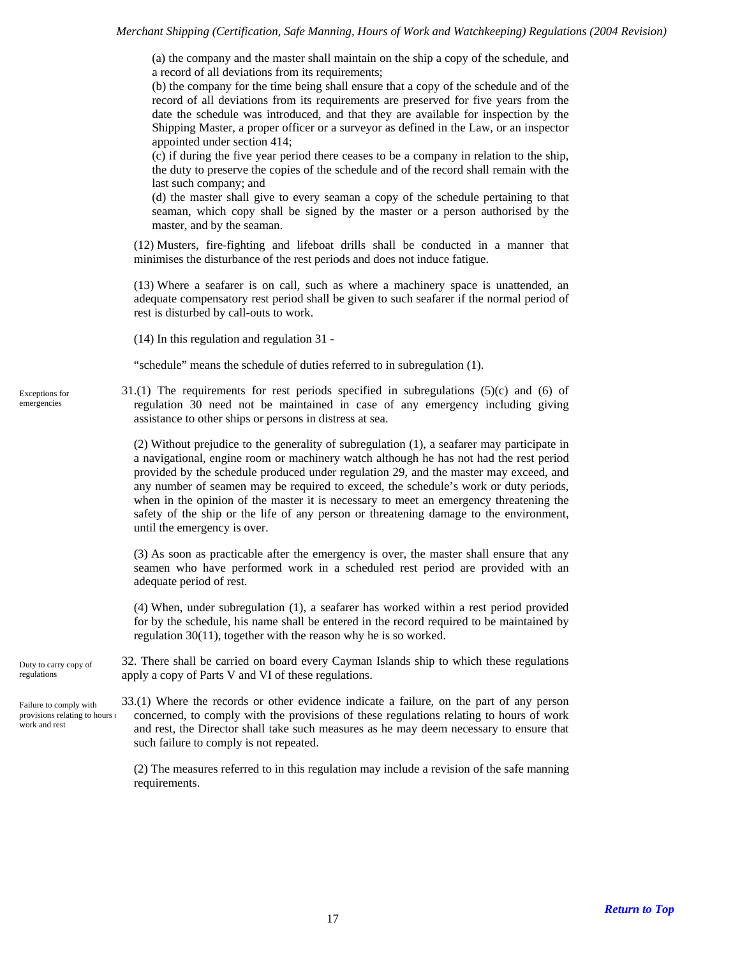(a) the company and the master shall maintain on the ship a copy of the schedule, and a record of all deviations from its requirements;

(b) the company for the time being shall ensure that a copy of the schedule and of the record of all deviations from its requirements are preserved for five years from the date the schedule was introduced, and that they are available for inspection by the Shipping Master, a proper officer or a surveyor as defined in the Law, or an inspector appointed under section 414;

(c) if during the five year period there ceases to be a company in relation to the ship, the duty to preserve the copies of the schedule and of the record shall remain with the last such company; and

(d) the master shall give to every seaman a copy of the schedule pertaining to that seaman, which copy shall be signed by the master or a person authorised by the master, and by the seaman.

(12) Musters, fire-fighting and lifeboat drills shall be conducted in a manner that minimises the disturbance of the rest periods and does not induce fatigue.

(13) Where a seafarer is on call, such as where a machinery space is unattended, an adequate compensatory rest period shall be given to such seafarer if the normal period of rest is disturbed by call-outs to work.

(14) In this regulation and regulation 31 -

"schedule" means the schedule of duties referred to in subregulation (1).

31.(1) The requirements for rest periods specified in subregulations (5)(c) and (6) of regulation 30 need not be maintained in case of any emergency including giving assistance to other ships or persons in distress at sea.

(2) Without prejudice to the generality of subregulation (1), a seafarer may participate in a navigational, engine room or machinery watch although he has not had the rest period provided by the schedule produced under regulation 29, and the master may exceed, and any number of seamen may be required to exceed, the schedule's work or duty periods, when in the opinion of the master it is necessary to meet an emergency threatening the safety of the ship or the life of any person or threatening damage to the environment, until the emergency is over.

(3) As soon as practicable after the emergency is over, the master shall ensure that any seamen who have performed work in a scheduled rest period are provided with an adequate period of rest.

(4) When, under subregulation (1), a seafarer has worked within a rest period provided for by the schedule, his name shall be entered in the record required to be maintained by regulation 30(11), together with the reason why he is so worked.

<span id="page-16-1"></span>32. There shall be carried on board every Cayman Islands ship to which these regulations apply a copy of Parts V and VI of these regulations. Duty to carry copy of regulations

<span id="page-16-2"></span>33.(1) Where the records or other evidence indicate a failure, on the part of any person concerned, to comply with the provisions of these regulations relating to hours of work and rest, the Director shall take such measures as he may deem necessary to ensure that such failure to comply is not repeated. Failure to comply with provisions relating to hours o work and rest

> (2) The measures referred to in this regulation may include a revision of the safe manning requirements.

<span id="page-16-0"></span>Exceptions for emergencies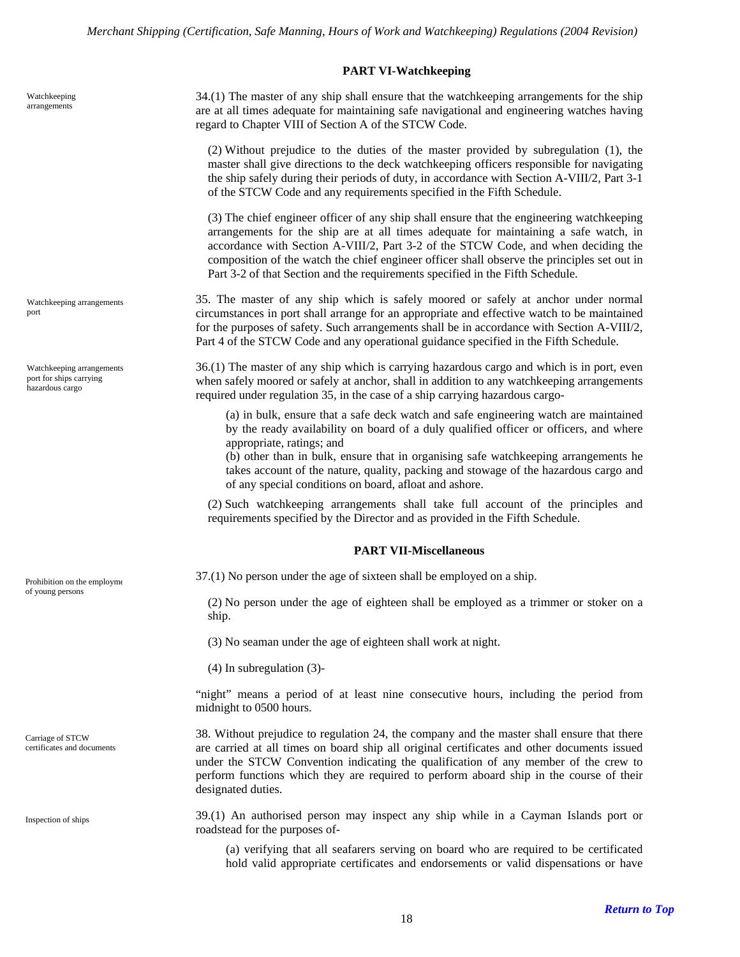# **PART VI-Watchkeeping**

<span id="page-17-1"></span><span id="page-17-0"></span>Watchkeeping arrangements

<span id="page-17-2"></span>Watchkeeping arrangements port

<span id="page-17-3"></span>Watchkeeping arrangements port for ships carrying hazardous cargo

of young persons

<span id="page-17-6"></span>Carriage of STCW certificates and documents

<span id="page-17-7"></span>Inspection of ships

34.(1) The master of any ship shall ensure that the watchkeeping arrangements for the ship are at all times adequate for maintaining safe navigational and engineering watches having regard to Chapter VIII of Section A of the STCW Code.

(2) Without prejudice to the duties of the master provided by subregulation (1), the master shall give directions to the deck watchkeeping officers responsible for navigating the ship safely during their periods of duty, in accordance with Section A-VIII/2, Part 3-1 of the STCW Code and any requirements specified in the Fifth Schedule.

(3) The chief engineer officer of any ship shall ensure that the engineering watchkeeping arrangements for the ship are at all times adequate for maintaining a safe watch, in accordance with Section A-VIII/2, Part 3-2 of the STCW Code, and when deciding the composition of the watch the chief engineer officer shall observe the principles set out in Part 3-2 of that Section and the requirements specified in the Fifth Schedule.

35. The master of any ship which is safely moored or safely at anchor under normal circumstances in port shall arrange for an appropriate and effective watch to be maintained for the purposes of safety. Such arrangements shall be in accordance with Section A-VIII/2, Part 4 of the STCW Code and any operational guidance specified in the Fifth Schedule.

36.(1) The master of any ship which is carrying hazardous cargo and which is in port, even when safely moored or safely at anchor, shall in addition to any watchkeeping arrangements required under regulation 35, in the case of a ship carrying hazardous cargo-

(a) in bulk, ensure that a safe deck watch and safe engineering watch are maintained by the ready availability on board of a duly qualified officer or officers, and where appropriate, ratings; and

(b) other than in bulk, ensure that in organising safe watchkeeping arrangements he takes account of the nature, quality, packing and stowage of the hazardous cargo and of any special conditions on board, afloat and ashore.

(2) Such watchkeeping arrangements shall take full account of the principles and requirements specified by the Director and as provided in the Fifth Schedule.

#### **PART VII-Miscellaneous**

<span id="page-17-5"></span><span id="page-17-4"></span>Prohibition on the employme 37.(1) No person under the age of sixteen shall be employed on a ship.

(2) No person under the age of eighteen shall be employed as a trimmer or stoker on a ship.

(3) No seaman under the age of eighteen shall work at night.

(4) In subregulation (3)-

"night" means a period of at least nine consecutive hours, including the period from midnight to 0500 hours.

38. Without prejudice to regulation 24, the company and the master shall ensure that there are carried at all times on board ship all original certificates and other documents issued under the STCW Convention indicating the qualification of any member of the crew to perform functions which they are required to perform aboard ship in the course of their designated duties.

39.(1) An authorised person may inspect any ship while in a Cayman Islands port or roadstead for the purposes of-

(a) verifying that all seafarers serving on board who are required to be certificated hold valid appropriate certificates and endorsements or valid dispensations or have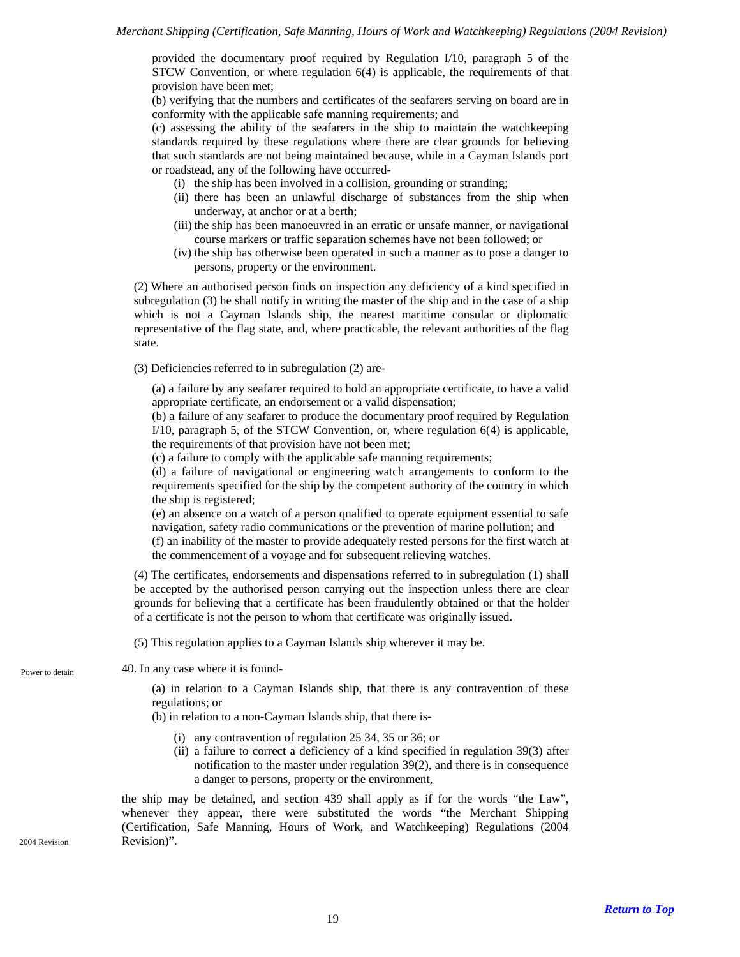provided the documentary proof required by Regulation I/10, paragraph 5 of the STCW Convention, or where regulation 6(4) is applicable, the requirements of that provision have been met;

(b) verifying that the numbers and certificates of the seafarers serving on board are in conformity with the applicable safe manning requirements; and

(c) assessing the ability of the seafarers in the ship to maintain the watchkeeping standards required by these regulations where there are clear grounds for believing that such standards are not being maintained because, while in a Cayman Islands port or roadstead, any of the following have occurred-

- (i) the ship has been involved in a collision, grounding or stranding;
- (ii) there has been an unlawful discharge of substances from the ship when underway, at anchor or at a berth;
- (iii) the ship has been manoeuvred in an erratic or unsafe manner, or navigational course markers or traffic separation schemes have not been followed; or
- (iv) the ship has otherwise been operated in such a manner as to pose a danger to persons, property or the environment.

(2) Where an authorised person finds on inspection any deficiency of a kind specified in subregulation (3) he shall notify in writing the master of the ship and in the case of a ship which is not a Cayman Islands ship, the nearest maritime consular or diplomatic representative of the flag state, and, where practicable, the relevant authorities of the flag state.

(3) Deficiencies referred to in subregulation (2) are-

(a) a failure by any seafarer required to hold an appropriate certificate, to have a valid appropriate certificate, an endorsement or a valid dispensation;

(b) a failure of any seafarer to produce the documentary proof required by Regulation I/10, paragraph 5, of the STCW Convention, or, where regulation 6(4) is applicable, the requirements of that provision have not been met;

(c) a failure to comply with the applicable safe manning requirements;

(d) a failure of navigational or engineering watch arrangements to conform to the requirements specified for the ship by the competent authority of the country in which the ship is registered;

(e) an absence on a watch of a person qualified to operate equipment essential to safe navigation, safety radio communications or the prevention of marine pollution; and

(f) an inability of the master to provide adequately rested persons for the first watch at the commencement of a voyage and for subsequent relieving watches.

(4) The certificates, endorsements and dispensations referred to in subregulation (1) shall be accepted by the authorised person carrying out the inspection unless there are clear grounds for believing that a certificate has been fraudulently obtained or that the holder of a certificate is not the person to whom that certificate was originally issued.

(5) This regulation applies to a Cayman Islands ship wherever it may be.

<span id="page-18-0"></span>Power to detain 40. In any case where it is found-

(a) in relation to a Cayman Islands ship, that there is any contravention of these regulations; or

(b) in relation to a non-Cayman Islands ship, that there is-

- (i) any contravention of regulation 25 34, 35 or 36; or
- (ii) a failure to correct a deficiency of a kind specified in regulation 39(3) after notification to the master under regulation 39(2), and there is in consequence a danger to persons, property or the environment,

the ship may be detained, and section 439 shall apply as if for the words "the Law", whenever they appear, there were substituted the words "the Merchant Shipping (Certification, Safe Manning, Hours of Work, and Watchkeeping) Regulations (2004 2004 Revision Revision)".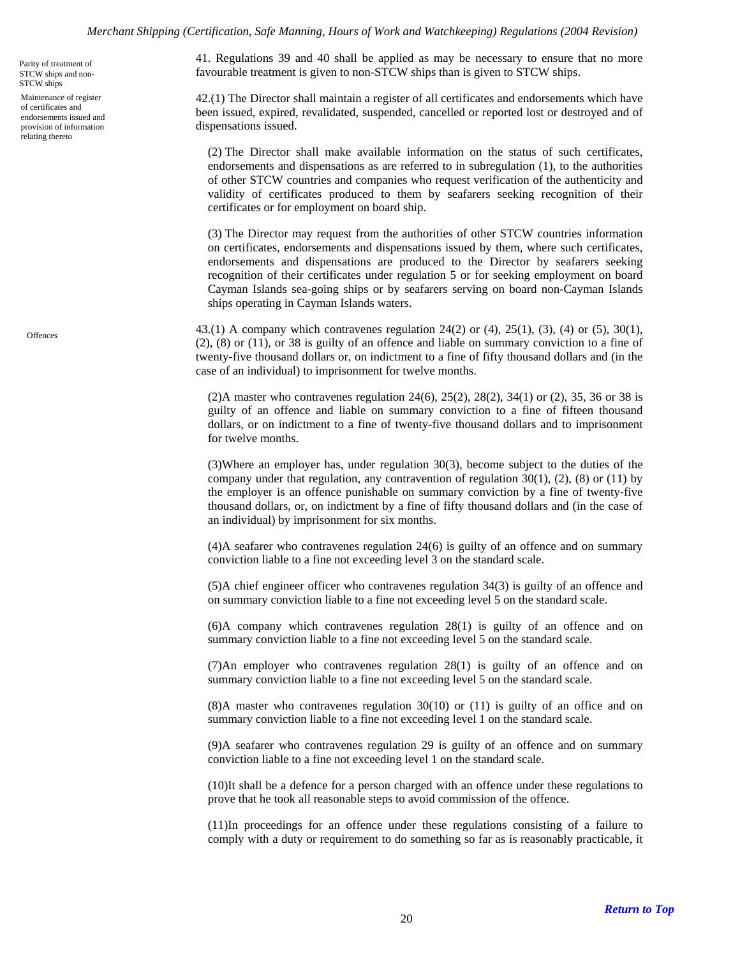<span id="page-19-0"></span>STCW ships and non-STCW ships

<span id="page-19-1"></span>Maintenance of register of certificates and endorsements issued and provision of information relating thereto

<span id="page-19-2"></span>**Offences** 

41. Regulations 39 and 40 shall be applied as may be necessary to ensure that no more  $P_{\text{arity of treatment of}}$  of treatment of  $P_{\text{arity of treatment of}}$  and  $P_{\text{arity of treatment of}}$  and  $P_{\text{arity of treatment of}}$  and  $P_{\text{arity of treatment of}}$  are to STCW ships.

> 42.(1) The Director shall maintain a register of all certificates and endorsements which have been issued, expired, revalidated, suspended, cancelled or reported lost or destroyed and of dispensations issued.

(2) The Director shall make available information on the status of such certificates, endorsements and dispensations as are referred to in subregulation (1), to the authorities of other STCW countries and companies who request verification of the authenticity and validity of certificates produced to them by seafarers seeking recognition of their certificates or for employment on board ship.

(3) The Director may request from the authorities of other STCW countries information on certificates, endorsements and dispensations issued by them, where such certificates, endorsements and dispensations are produced to the Director by seafarers seeking recognition of their certificates under regulation 5 or for seeking employment on board Cayman Islands sea-going ships or by seafarers serving on board non-Cayman Islands ships operating in Cayman Islands waters.

43.(1) A company which contravenes regulation 24(2) or (4), 25(1), (3), (4) or (5), 30(1), (2), (8) or (11), or 38 is guilty of an offence and liable on summary conviction to a fine of twenty-five thousand dollars or, on indictment to a fine of fifty thousand dollars and (in the case of an individual) to imprisonment for twelve months.

(2)A master who contravenes regulation 24(6), 25(2), 28(2), 34(1) or (2), 35, 36 or 38 is guilty of an offence and liable on summary conviction to a fine of fifteen thousand dollars, or on indictment to a fine of twenty-five thousand dollars and to imprisonment for twelve months.

(3)Where an employer has, under regulation 30(3), become subject to the duties of the company under that regulation, any contravention of regulation  $30(1)$ ,  $(2)$ ,  $(8)$  or  $(11)$  by the employer is an offence punishable on summary conviction by a fine of twenty-five thousand dollars, or, on indictment by a fine of fifty thousand dollars and (in the case of an individual) by imprisonment for six months.

(4)A seafarer who contravenes regulation 24(6) is guilty of an offence and on summary conviction liable to a fine not exceeding level 3 on the standard scale.

(5)A chief engineer officer who contravenes regulation 34(3) is guilty of an offence and on summary conviction liable to a fine not exceeding level 5 on the standard scale.

(6)A company which contravenes regulation 28(1) is guilty of an offence and on summary conviction liable to a fine not exceeding level 5 on the standard scale.

(7)An employer who contravenes regulation 28(1) is guilty of an offence and on summary conviction liable to a fine not exceeding level 5 on the standard scale.

(8)A master who contravenes regulation 30(10) or (11) is guilty of an office and on summary conviction liable to a fine not exceeding level 1 on the standard scale.

(9)A seafarer who contravenes regulation 29 is guilty of an offence and on summary conviction liable to a fine not exceeding level 1 on the standard scale.

(10)It shall be a defence for a person charged with an offence under these regulations to prove that he took all reasonable steps to avoid commission of the offence.

(11)In proceedings for an offence under these regulations consisting of a failure to comply with a duty or requirement to do something so far as is reasonably practicable, it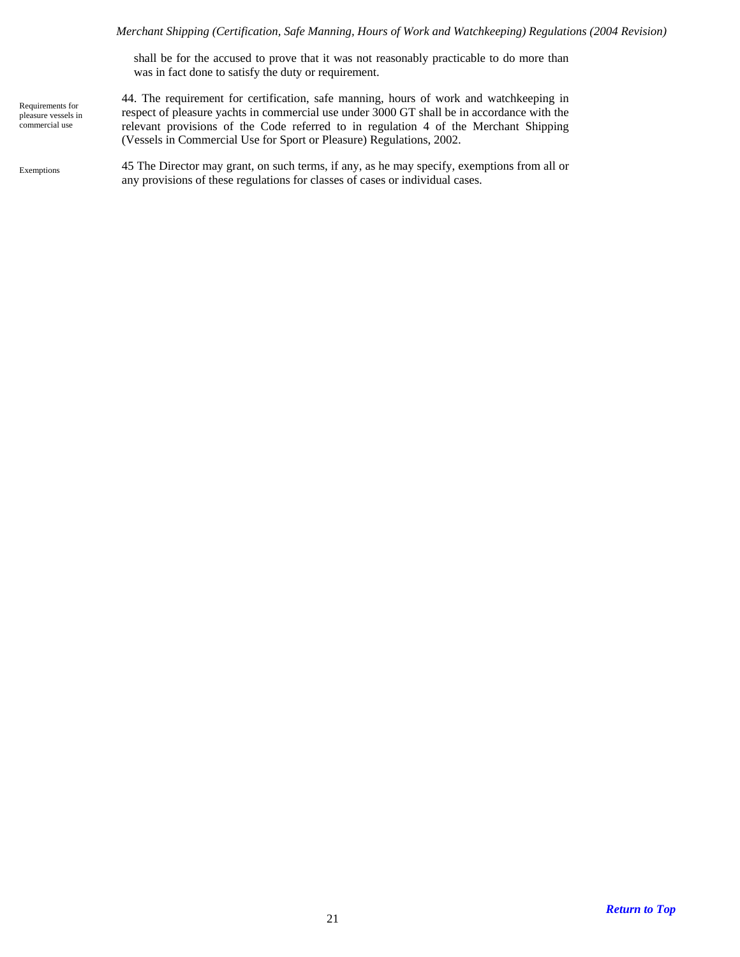shall be for the accused to prove that it was not reasonably practicable to do more than was in fact done to satisfy the duty or requirement.

<span id="page-20-0"></span>Requirements for pleasure vessels in commercial use

<span id="page-20-1"></span>Exemptions

44. The requirement for certification, safe manning, hours of work and watchkeeping in respect of pleasure yachts in commercial use under 3000 GT shall be in accordance with the relevant provisions of the Code referred to in regulation 4 of the Merchant Shipping (Vessels in Commercial Use for Sport or Pleasure) Regulations, 2002.

45 The Director may grant, on such terms, if any, as he may specify, exemptions from all or any provisions of these regulations for classes of cases or individual cases.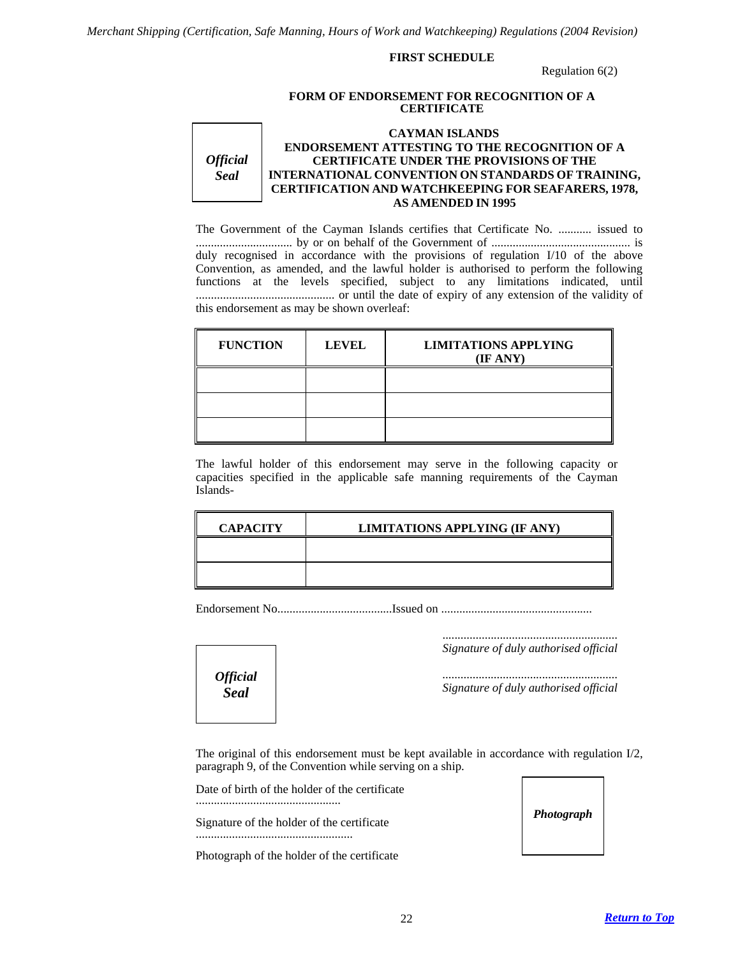#### **FIRST SCHEDULE**

Regulation 6(2)

#### **FORM OF ENDORSEMENT FOR RECOGNITION OF A CERTIFICATE**

<span id="page-21-0"></span>*Official Seal*  **CAYMAN ISLANDS ENDORSEMENT ATTESTING TO THE RECOGNITION OF A CERTIFICATE UNDER THE PROVISIONS OF THE INTERNATIONAL CONVENTION ON STANDARDS OF TRAINING, CERTIFICATION AND WATCHKEEPING FOR SEAFARERS, 1978, AS AMENDED IN 1995**

The Government of the Cayman Islands certifies that Certificate No. ........... issued to ................................ by or on behalf of the Government of .............................................. is duly recognised in accordance with the provisions of regulation I/10 of the above Convention, as amended, and the lawful holder is authorised to perform the following functions at the levels specified, subject to any limitations indicated, until .............................................. or until the date of expiry of any extension of the validity of this endorsement as may be shown overleaf:

| <b>FUNCTION</b> | <b>LEVEL</b> | <b>LIMITATIONS APPLYING</b><br>(IF ANY) |
|-----------------|--------------|-----------------------------------------|
|                 |              |                                         |
|                 |              |                                         |
|                 |              |                                         |

The lawful holder of this endorsement may serve in the following capacity or capacities specified in the applicable safe manning requirements of the Cayman Islands-

| <b>CAPACITY</b> | <b>LIMITATIONS APPLYING (IF ANY)</b> |
|-----------------|--------------------------------------|
|                 |                                      |
|                 |                                      |

Endorsement No......................................Issued on ..................................................

 .......................................................... *Signature of duly authorised official* 

.......................................................... *Signature of duly authorised official* 

The original of this endorsement must be kept available in accordance with regulation I/2, paragraph 9, of the Convention while serving on a ship.

Date of birth of the holder of the certificate

*Official Seal*

Signature of the holder of the certificate ....................................................

Photograph of the holder of the certificate

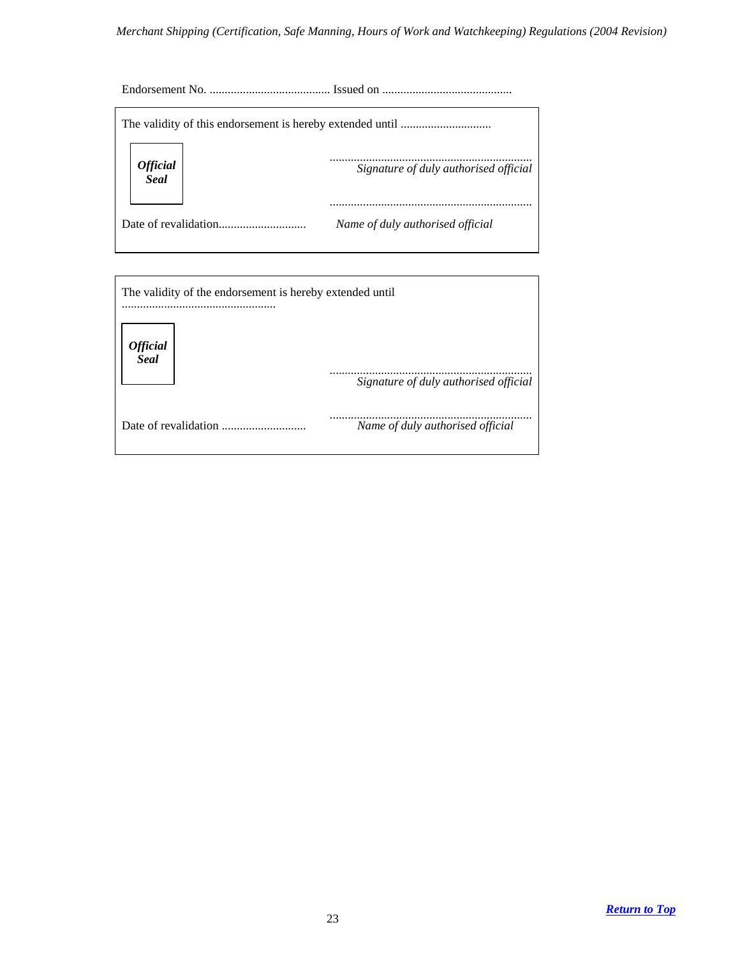Endorsement No. ........................................ Issued on ...........................................

| Official<br>Seal | Signature of duly authorised official |
|------------------|---------------------------------------|
|                  | Name of duly authorised official      |

| The validity of the endorsement is hereby extended until |                                       |  |  |  |  |
|----------------------------------------------------------|---------------------------------------|--|--|--|--|
| <b>Official</b><br><b>Seal</b>                           | Signature of duly authorised official |  |  |  |  |
| Date of revalidation                                     | Name of duly authorised official      |  |  |  |  |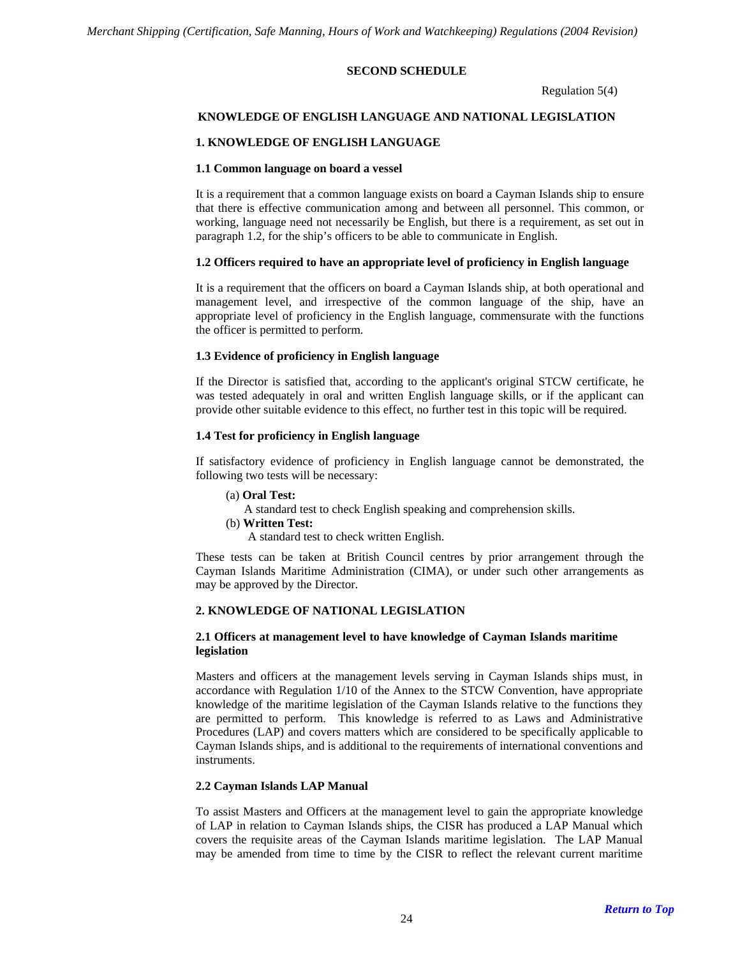### **SECOND SCHEDULE**

Regulation 5(4)

### <span id="page-23-0"></span>**KNOWLEDGE OF ENGLISH LANGUAGE AND NATIONAL LEGISLATION**

### **1. KNOWLEDGE OF ENGLISH LANGUAGE**

#### **1.1 Common language on board a vessel**

It is a requirement that a common language exists on board a Cayman Islands ship to ensure that there is effective communication among and between all personnel. This common, or working, language need not necessarily be English, but there is a requirement, as set out in paragraph 1.2, for the ship's officers to be able to communicate in English.

#### **1.2 Officers required to have an appropriate level of proficiency in English language**

It is a requirement that the officers on board a Cayman Islands ship, at both operational and management level, and irrespective of the common language of the ship, have an appropriate level of proficiency in the English language, commensurate with the functions the officer is permitted to perform.

#### **1.3 Evidence of proficiency in English language**

If the Director is satisfied that, according to the applicant's original STCW certificate, he was tested adequately in oral and written English language skills, or if the applicant can provide other suitable evidence to this effect, no further test in this topic will be required.

#### **1.4 Test for proficiency in English language**

If satisfactory evidence of proficiency in English language cannot be demonstrated, the following two tests will be necessary:

(a) **Oral Test:**

A standard test to check English speaking and comprehension skills.

(b) **Written Test:** 

A standard test to check written English.

These tests can be taken at British Council centres by prior arrangement through the Cayman Islands Maritime Administration (CIMA), or under such other arrangements as may be approved by the Director.

#### **2. KNOWLEDGE OF NATIONAL LEGISLATION**

#### **2.1 Officers at management level to have knowledge of Cayman Islands maritime legislation**

Masters and officers at the management levels serving in Cayman Islands ships must, in accordance with Regulation 1/10 of the Annex to the STCW Convention, have appropriate knowledge of the maritime legislation of the Cayman Islands relative to the functions they are permitted to perform. This knowledge is referred to as Laws and Administrative Procedures (LAP) and covers matters which are considered to be specifically applicable to Cayman Islands ships, and is additional to the requirements of international conventions and instruments.

#### **2.2 Cayman Islands LAP Manual**

To assist Masters and Officers at the management level to gain the appropriate knowledge of LAP in relation to Cayman Islands ships, the CISR has produced a LAP Manual which covers the requisite areas of the Cayman Islands maritime legislation. The LAP Manual may be amended from time to time by the CISR to reflect the relevant current maritime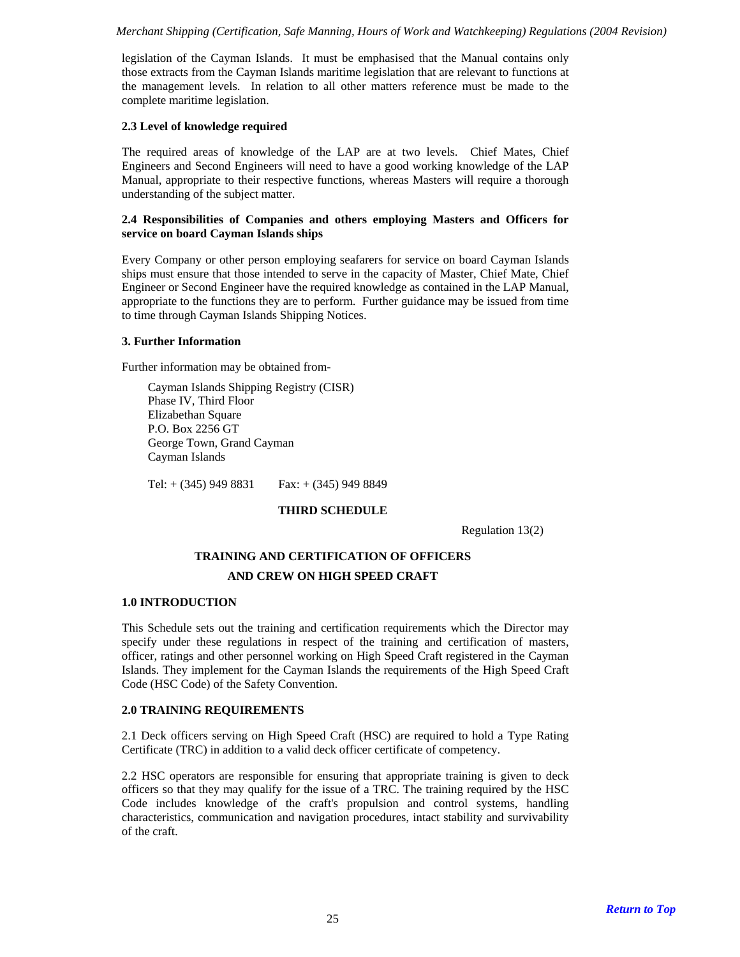legislation of the Cayman Islands. It must be emphasised that the Manual contains only those extracts from the Cayman Islands maritime legislation that are relevant to functions at the management levels. In relation to all other matters reference must be made to the complete maritime legislation.

# **2.3 Level of knowledge required**

The required areas of knowledge of the LAP are at two levels. Chief Mates, Chief Engineers and Second Engineers will need to have a good working knowledge of the LAP Manual, appropriate to their respective functions, whereas Masters will require a thorough understanding of the subject matter.

### **2.4 Responsibilities of Companies and others employing Masters and Officers for service on board Cayman Islands ships**

Every Company or other person employing seafarers for service on board Cayman Islands ships must ensure that those intended to serve in the capacity of Master, Chief Mate, Chief Engineer or Second Engineer have the required knowledge as contained in the LAP Manual, appropriate to the functions they are to perform. Further guidance may be issued from time to time through Cayman Islands Shipping Notices.

# **3. Further Information**

Further information may be obtained from-

Cayman Islands Shipping Registry (CISR) Phase IV, Third Floor Elizabethan Square P.O. Box 2256 GT George Town, Grand Cayman Cayman Islands

<span id="page-24-0"></span>Tel:  $+$  (345) 949 8831 Fax:  $+$  (345) 949 8849

# **THIRD SCHEDULE**

Regulation 13(2)

# **TRAINING AND CERTIFICATION OF OFFICERS AND CREW ON HIGH SPEED CRAFT**

#### **1.0 INTRODUCTION**

This Schedule sets out the training and certification requirements which the Director may specify under these regulations in respect of the training and certification of masters, officer, ratings and other personnel working on High Speed Craft registered in the Cayman Islands. They implement for the Cayman Islands the requirements of the High Speed Craft Code (HSC Code) of the Safety Convention.

# **2.0 TRAINING REQUIREMENTS**

2.1 Deck officers serving on High Speed Craft (HSC) are required to hold a Type Rating Certificate (TRC) in addition to a valid deck officer certificate of competency.

2.2 HSC operators are responsible for ensuring that appropriate training is given to deck officers so that they may qualify for the issue of a TRC. The training required by the HSC Code includes knowledge of the craft's propulsion and control systems, handling characteristics, communication and navigation procedures, intact stability and survivability of the craft.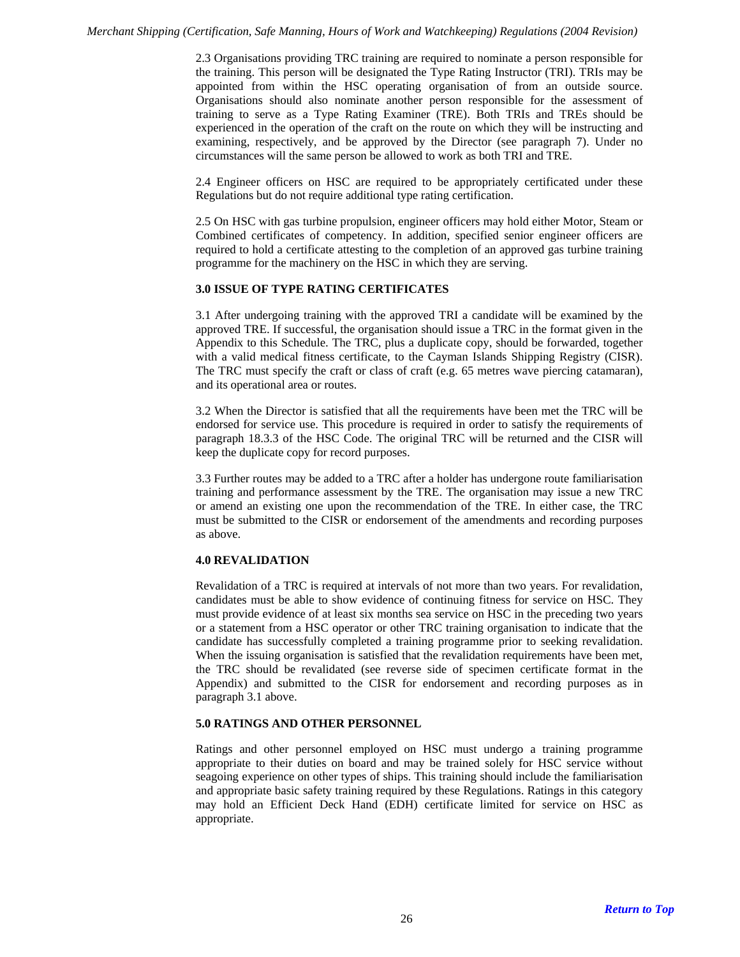2.3 Organisations providing TRC training are required to nominate a person responsible for the training. This person will be designated the Type Rating Instructor (TRI). TRIs may be appointed from within the HSC operating organisation of from an outside source. Organisations should also nominate another person responsible for the assessment of training to serve as a Type Rating Examiner (TRE). Both TRIs and TREs should be experienced in the operation of the craft on the route on which they will be instructing and examining, respectively, and be approved by the Director (see paragraph 7). Under no circumstances will the same person be allowed to work as both TRI and TRE.

2.4 Engineer officers on HSC are required to be appropriately certificated under these Regulations but do not require additional type rating certification.

2.5 On HSC with gas turbine propulsion, engineer officers may hold either Motor, Steam or Combined certificates of competency. In addition, specified senior engineer officers are required to hold a certificate attesting to the completion of an approved gas turbine training programme for the machinery on the HSC in which they are serving.

#### **3.0 ISSUE OF TYPE RATING CERTIFICATES**

3.1 After undergoing training with the approved TRI a candidate will be examined by the approved TRE. If successful, the organisation should issue a TRC in the format given in the Appendix to this Schedule. The TRC, plus a duplicate copy, should be forwarded, together with a valid medical fitness certificate, to the Cayman Islands Shipping Registry (CISR). The TRC must specify the craft or class of craft (e.g. 65 metres wave piercing catamaran), and its operational area or routes.

3.2 When the Director is satisfied that all the requirements have been met the TRC will be endorsed for service use. This procedure is required in order to satisfy the requirements of paragraph 18.3.3 of the HSC Code. The original TRC will be returned and the CISR will keep the duplicate copy for record purposes.

3.3 Further routes may be added to a TRC after a holder has undergone route familiarisation training and performance assessment by the TRE. The organisation may issue a new TRC or amend an existing one upon the recommendation of the TRE. In either case, the TRC must be submitted to the CISR or endorsement of the amendments and recording purposes as above.

#### **4.0 REVALIDATION**

Revalidation of a TRC is required at intervals of not more than two years. For revalidation, candidates must be able to show evidence of continuing fitness for service on HSC. They must provide evidence of at least six months sea service on HSC in the preceding two years or a statement from a HSC operator or other TRC training organisation to indicate that the candidate has successfully completed a training programme prior to seeking revalidation. When the issuing organisation is satisfied that the revalidation requirements have been met, the TRC should be revalidated (see reverse side of specimen certificate format in the Appendix) and submitted to the CISR for endorsement and recording purposes as in paragraph 3.1 above.

#### **5.0 RATINGS AND OTHER PERSONNEL**

Ratings and other personnel employed on HSC must undergo a training programme appropriate to their duties on board and may be trained solely for HSC service without seagoing experience on other types of ships. This training should include the familiarisation and appropriate basic safety training required by these Regulations. Ratings in this category may hold an Efficient Deck Hand (EDH) certificate limited for service on HSC as appropriate.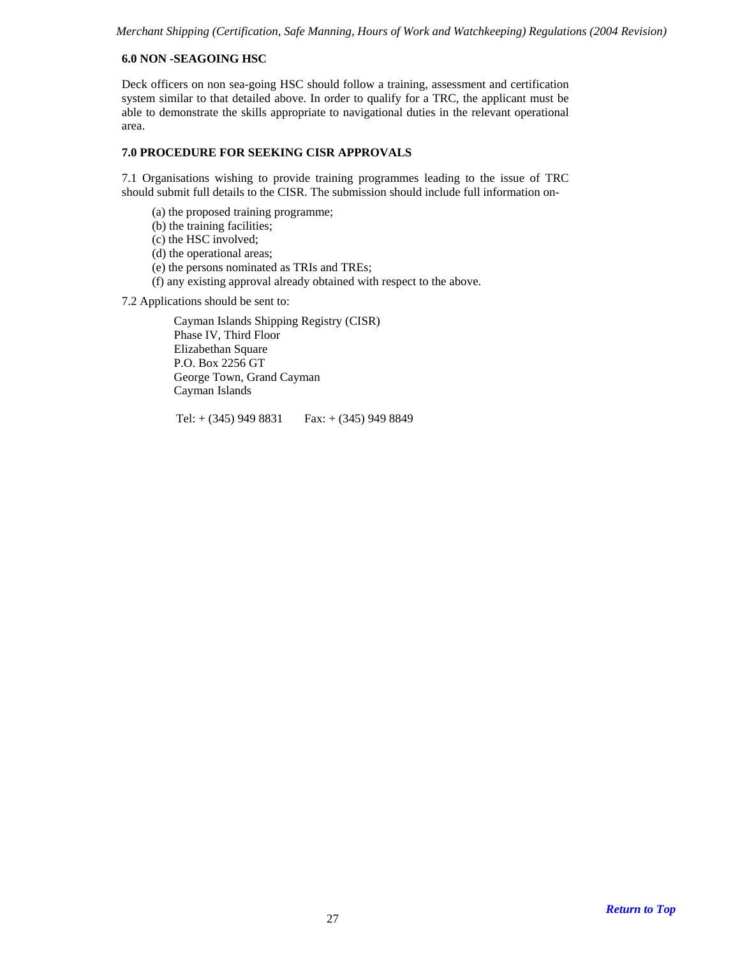# **6.0 NON -SEAGOING HSC**

Deck officers on non sea-going HSC should follow a training, assessment and certification system similar to that detailed above. In order to qualify for a TRC, the applicant must be able to demonstrate the skills appropriate to navigational duties in the relevant operational area.

#### **7.0 PROCEDURE FOR SEEKING CISR APPROVALS**

7.1 Organisations wishing to provide training programmes leading to the issue of TRC should submit full details to the CISR. The submission should include full information on-

- (a) the proposed training programme;
- (b) the training facilities;
- (c) the HSC involved;
- (d) the operational areas;
- (e) the persons nominated as TRIs and TREs;
- (f) any existing approval already obtained with respect to the above.

7.2 Applications should be sent to:

Cayman Islands Shipping Registry (CISR) Phase IV, Third Floor Elizabethan Square P.O. Box 2256 GT George Town, Grand Cayman Cayman Islands

Tel:  $+ (345)$  949 8831 Fax:  $+ (345)$  949 8849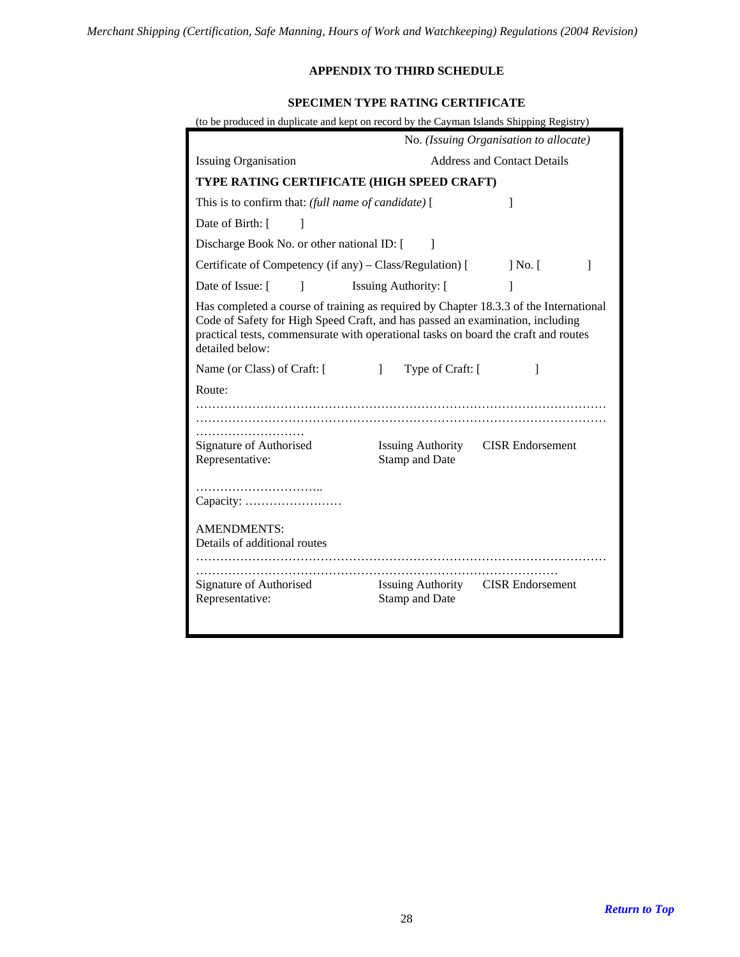# **APPENDIX TO THIRD SCHEDULE**

# **SPECIMEN TYPE RATING CERTIFICATE**

| (to be produced in duplicate and kept on record by the Cayman Islands Shipping Registry) |                                                                                                                                                                                                                                                              |              |  |  |  |  |
|------------------------------------------------------------------------------------------|--------------------------------------------------------------------------------------------------------------------------------------------------------------------------------------------------------------------------------------------------------------|--------------|--|--|--|--|
|                                                                                          | No. (Issuing Organisation to allocate)                                                                                                                                                                                                                       |              |  |  |  |  |
| <b>Issuing Organisation</b>                                                              | <b>Address and Contact Details</b>                                                                                                                                                                                                                           |              |  |  |  |  |
| TYPE RATING CERTIFICATE (HIGH SPEED CRAFT)                                               |                                                                                                                                                                                                                                                              |              |  |  |  |  |
| This is to confirm that: (full name of candidate) [                                      | 1                                                                                                                                                                                                                                                            |              |  |  |  |  |
| Date of Birth: [<br>$\mathbf{I}$                                                         |                                                                                                                                                                                                                                                              |              |  |  |  |  |
| Discharge Book No. or other national ID: [                                               | 1                                                                                                                                                                                                                                                            |              |  |  |  |  |
| Certificate of Competency (if any) – Class/Regulation) [                                 | $\vert$ No. $\vert$                                                                                                                                                                                                                                          | 1            |  |  |  |  |
| Date of Issue: [<br>1                                                                    | <b>Issuing Authority:</b> [                                                                                                                                                                                                                                  |              |  |  |  |  |
| detailed below:                                                                          | Has completed a course of training as required by Chapter 18.3.3 of the International<br>Code of Safety for High Speed Craft, and has passed an examination, including<br>practical tests, commensurate with operational tasks on board the craft and routes |              |  |  |  |  |
| Name (or Class) of Craft: [                                                              | Type of Craft: [<br>$\mathbf{1}$                                                                                                                                                                                                                             | $\mathbf{I}$ |  |  |  |  |
| Route:                                                                                   |                                                                                                                                                                                                                                                              |              |  |  |  |  |
|                                                                                          |                                                                                                                                                                                                                                                              |              |  |  |  |  |
|                                                                                          |                                                                                                                                                                                                                                                              |              |  |  |  |  |
| Signature of Authorised<br>Representative:                                               | <b>CISR</b> Endorsement<br><b>Issuing Authority</b><br><b>Stamp and Date</b>                                                                                                                                                                                 |              |  |  |  |  |
|                                                                                          |                                                                                                                                                                                                                                                              |              |  |  |  |  |
|                                                                                          |                                                                                                                                                                                                                                                              |              |  |  |  |  |
| <b>AMENDMENTS:</b><br>Details of additional routes                                       |                                                                                                                                                                                                                                                              |              |  |  |  |  |
| Signature of Authorised<br>Representative:                                               | Issuing Authority CISR Endorsement<br><b>Stamp and Date</b>                                                                                                                                                                                                  |              |  |  |  |  |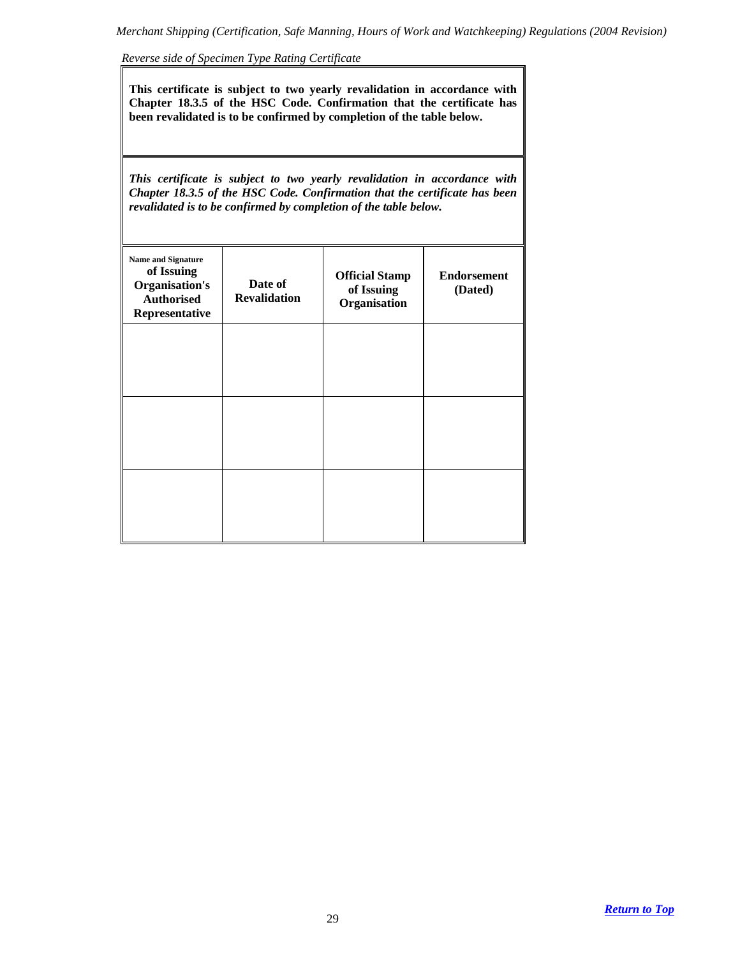*Reverse side of Specimen Type Rating Certificate*

**This certificate is subject to two yearly revalidation in accordance with Chapter 18.3.5 of the HSC Code. Confirmation that the certificate has been revalidated is to be confirmed by completion of the table below.** 

*This certificate is subject to two yearly revalidation in accordance with Chapter 18.3.5 of the HSC Code. Confirmation that the certificate has been revalidated is to be confirmed by completion of the table below.* 

| <b>Name and Signature</b><br>of Issuing<br><b>Organisation's</b><br><b>Authorised</b><br>Representative | Date of<br><b>Revalidation</b> | <b>Official Stamp</b><br>of Issuing<br>Organisation | <b>Endorsement</b><br>(Dated) |
|---------------------------------------------------------------------------------------------------------|--------------------------------|-----------------------------------------------------|-------------------------------|
|                                                                                                         |                                |                                                     |                               |
|                                                                                                         |                                |                                                     |                               |
|                                                                                                         |                                |                                                     |                               |
|                                                                                                         |                                |                                                     |                               |
|                                                                                                         |                                |                                                     |                               |
|                                                                                                         |                                |                                                     |                               |
|                                                                                                         |                                |                                                     |                               |
|                                                                                                         |                                |                                                     |                               |
|                                                                                                         |                                |                                                     |                               |
|                                                                                                         |                                |                                                     |                               |
|                                                                                                         |                                |                                                     |                               |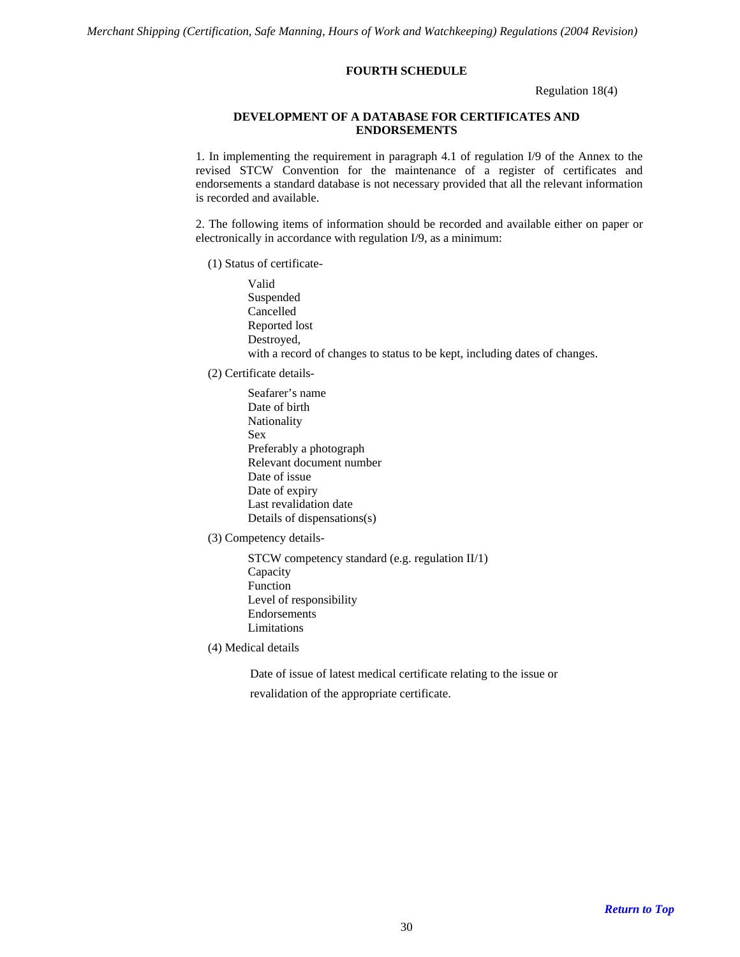### **FOURTH SCHEDULE**

Regulation 18(4)

### **DEVELOPMENT OF A DATABASE FOR CERTIFICATES AND ENDORSEMENTS**

<span id="page-29-0"></span>1. In implementing the requirement in paragraph 4.1 of regulation I/9 of the Annex to the revised STCW Convention for the maintenance of a register of certificates and endorsements a standard database is not necessary provided that all the relevant information is recorded and available.

2. The following items of information should be recorded and available either on paper or electronically in accordance with regulation I/9, as a minimum:

(1) Status of certificate-

Valid Suspended Cancelled Reported lost Destroyed, with a record of changes to status to be kept, including dates of changes.

(2) Certificate details-

Seafarer's name Date of birth Nationality Sex Preferably a photograph Relevant document number Date of issue Date of expiry Last revalidation date Details of dispensations(s)

(3) Competency details-

STCW competency standard (e.g. regulation II/1) Capacity Function Level of responsibility Endorsements Limitations

(4) Medical details

Date of issue of latest medical certificate relating to the issue or

revalidation of the appropriate certificate.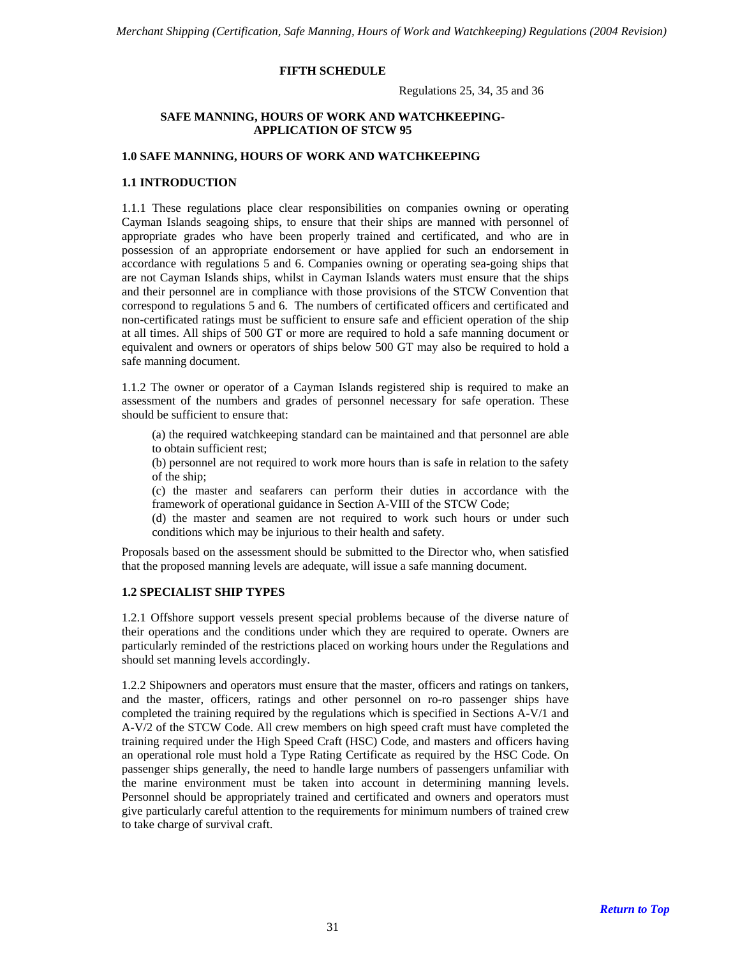### **FIFTH SCHEDULE**

Regulations 25, 34, 35 and 36

# **SAFE MANNING, HOURS OF WORK AND WATCHKEEPING-APPLICATION OF STCW 95**

### <span id="page-30-0"></span>**1.0 SAFE MANNING, HOURS OF WORK AND WATCHKEEPING**

### **1.1 INTRODUCTION**

1.1.1 These regulations place clear responsibilities on companies owning or operating Cayman Islands seagoing ships, to ensure that their ships are manned with personnel of appropriate grades who have been properly trained and certificated, and who are in possession of an appropriate endorsement or have applied for such an endorsement in accordance with regulations 5 and 6. Companies owning or operating sea-going ships that are not Cayman Islands ships, whilst in Cayman Islands waters must ensure that the ships and their personnel are in compliance with those provisions of the STCW Convention that correspond to regulations 5 and 6. The numbers of certificated officers and certificated and non-certificated ratings must be sufficient to ensure safe and efficient operation of the ship at all times. All ships of 500 GT or more are required to hold a safe manning document or equivalent and owners or operators of ships below 500 GT may also be required to hold a safe manning document.

1.1.2 The owner or operator of a Cayman Islands registered ship is required to make an assessment of the numbers and grades of personnel necessary for safe operation. These should be sufficient to ensure that:

(a) the required watchkeeping standard can be maintained and that personnel are able to obtain sufficient rest;

(b) personnel are not required to work more hours than is safe in relation to the safety of the ship;

(c) the master and seafarers can perform their duties in accordance with the framework of operational guidance in Section A-VIII of the STCW Code;

(d) the master and seamen are not required to work such hours or under such conditions which may be injurious to their health and safety.

Proposals based on the assessment should be submitted to the Director who, when satisfied that the proposed manning levels are adequate, will issue a safe manning document.

### **1.2 SPECIALIST SHIP TYPES**

1.2.1 Offshore support vessels present special problems because of the diverse nature of their operations and the conditions under which they are required to operate. Owners are particularly reminded of the restrictions placed on working hours under the Regulations and should set manning levels accordingly.

1.2.2 Shipowners and operators must ensure that the master, officers and ratings on tankers, and the master, officers, ratings and other personnel on ro-ro passenger ships have completed the training required by the regulations which is specified in Sections A-V/1 and A-V/2 of the STCW Code. All crew members on high speed craft must have completed the training required under the High Speed Craft (HSC) Code, and masters and officers having an operational role must hold a Type Rating Certificate as required by the HSC Code. On passenger ships generally, the need to handle large numbers of passengers unfamiliar with the marine environment must be taken into account in determining manning levels. Personnel should be appropriately trained and certificated and owners and operators must give particularly careful attention to the requirements for minimum numbers of trained crew to take charge of survival craft.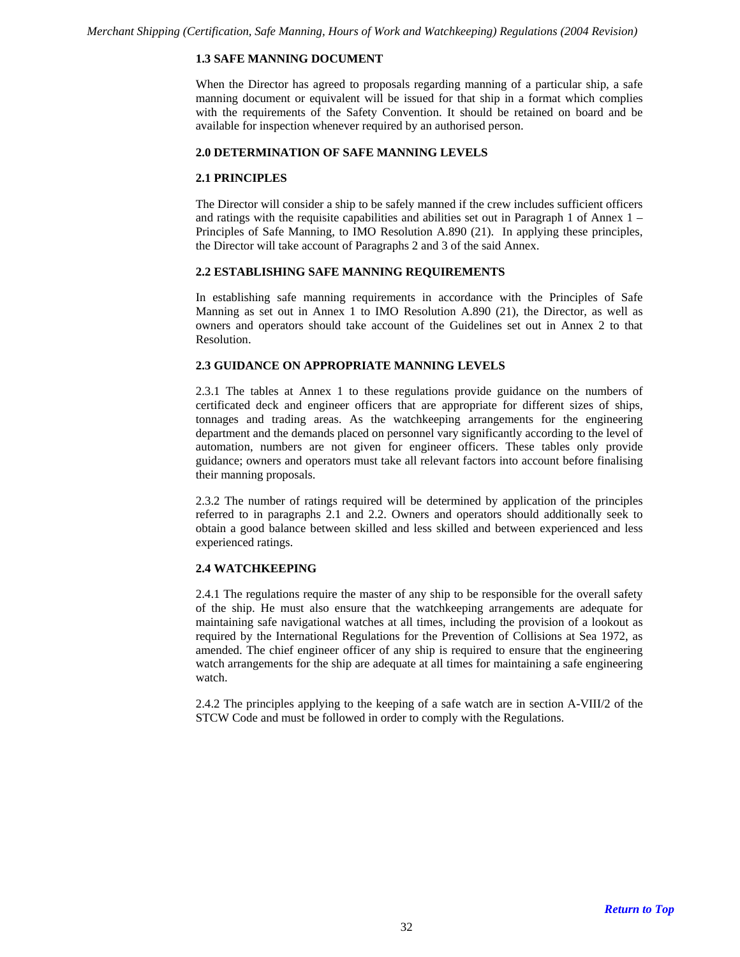# **1.3 SAFE MANNING DOCUMENT**

When the Director has agreed to proposals regarding manning of a particular ship, a safe manning document or equivalent will be issued for that ship in a format which complies with the requirements of the Safety Convention. It should be retained on board and be available for inspection whenever required by an authorised person.

#### **2.0 DETERMINATION OF SAFE MANNING LEVELS**

#### **2.1 PRINCIPLES**

The Director will consider a ship to be safely manned if the crew includes sufficient officers and ratings with the requisite capabilities and abilities set out in Paragraph 1 of Annex 1 – Principles of Safe Manning, to IMO Resolution A.890 (21). In applying these principles, the Director will take account of Paragraphs 2 and 3 of the said Annex.

### **2.2 ESTABLISHING SAFE MANNING REQUIREMENTS**

In establishing safe manning requirements in accordance with the Principles of Safe Manning as set out in Annex 1 to IMO Resolution A.890 (21), the Director, as well as owners and operators should take account of the Guidelines set out in Annex 2 to that Resolution.

#### **2.3 GUIDANCE ON APPROPRIATE MANNING LEVELS**

2.3.1 The tables at Annex 1 to these regulations provide guidance on the numbers of certificated deck and engineer officers that are appropriate for different sizes of ships, tonnages and trading areas. As the watchkeeping arrangements for the engineering department and the demands placed on personnel vary significantly according to the level of automation, numbers are not given for engineer officers. These tables only provide guidance; owners and operators must take all relevant factors into account before finalising their manning proposals.

2.3.2 The number of ratings required will be determined by application of the principles referred to in paragraphs 2.1 and 2.2. Owners and operators should additionally seek to obtain a good balance between skilled and less skilled and between experienced and less experienced ratings.

#### **2.4 WATCHKEEPING**

2.4.1 The regulations require the master of any ship to be responsible for the overall safety of the ship. He must also ensure that the watchkeeping arrangements are adequate for maintaining safe navigational watches at all times, including the provision of a lookout as required by the International Regulations for the Prevention of Collisions at Sea 1972, as amended. The chief engineer officer of any ship is required to ensure that the engineering watch arrangements for the ship are adequate at all times for maintaining a safe engineering watch.

2.4.2 The principles applying to the keeping of a safe watch are in section A-VIII/2 of the STCW Code and must be followed in order to comply with the Regulations.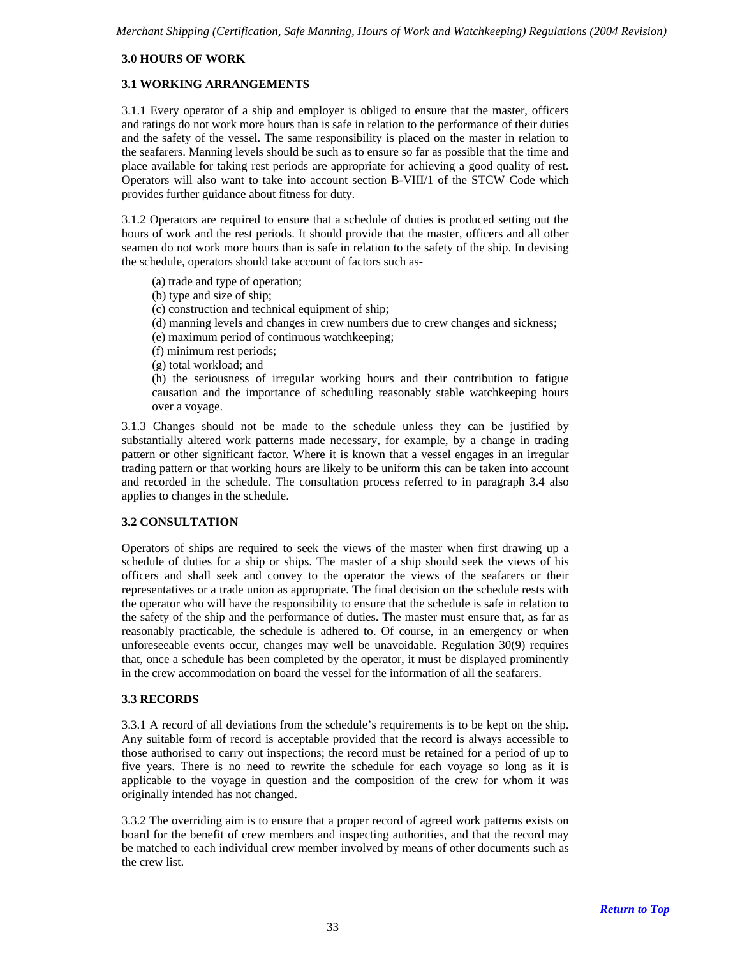## **3.0 HOURS OF WORK**

### **3.1 WORKING ARRANGEMENTS**

3.1.1 Every operator of a ship and employer is obliged to ensure that the master, officers and ratings do not work more hours than is safe in relation to the performance of their duties and the safety of the vessel. The same responsibility is placed on the master in relation to the seafarers. Manning levels should be such as to ensure so far as possible that the time and place available for taking rest periods are appropriate for achieving a good quality of rest. Operators will also want to take into account section B-VIII/1 of the STCW Code which provides further guidance about fitness for duty.

3.1.2 Operators are required to ensure that a schedule of duties is produced setting out the hours of work and the rest periods. It should provide that the master, officers and all other seamen do not work more hours than is safe in relation to the safety of the ship. In devising the schedule, operators should take account of factors such as-

- (a) trade and type of operation;
- (b) type and size of ship;
- (c) construction and technical equipment of ship;
- (d) manning levels and changes in crew numbers due to crew changes and sickness;
- (e) maximum period of continuous watchkeeping;
- (f) minimum rest periods;
- (g) total workload; and

(h) the seriousness of irregular working hours and their contribution to fatigue causation and the importance of scheduling reasonably stable watchkeeping hours over a voyage.

3.1.3 Changes should not be made to the schedule unless they can be justified by substantially altered work patterns made necessary, for example, by a change in trading pattern or other significant factor. Where it is known that a vessel engages in an irregular trading pattern or that working hours are likely to be uniform this can be taken into account and recorded in the schedule. The consultation process referred to in paragraph 3.4 also applies to changes in the schedule.

# **3.2 CONSULTATION**

Operators of ships are required to seek the views of the master when first drawing up a schedule of duties for a ship or ships. The master of a ship should seek the views of his officers and shall seek and convey to the operator the views of the seafarers or their representatives or a trade union as appropriate. The final decision on the schedule rests with the operator who will have the responsibility to ensure that the schedule is safe in relation to the safety of the ship and the performance of duties. The master must ensure that, as far as reasonably practicable, the schedule is adhered to. Of course, in an emergency or when unforeseeable events occur, changes may well be unavoidable. Regulation 30(9) requires that, once a schedule has been completed by the operator, it must be displayed prominently in the crew accommodation on board the vessel for the information of all the seafarers.

#### **3.3 RECORDS**

3.3.1 A record of all deviations from the schedule's requirements is to be kept on the ship. Any suitable form of record is acceptable provided that the record is always accessible to those authorised to carry out inspections; the record must be retained for a period of up to five years. There is no need to rewrite the schedule for each voyage so long as it is applicable to the voyage in question and the composition of the crew for whom it was originally intended has not changed.

3.3.2 The overriding aim is to ensure that a proper record of agreed work patterns exists on board for the benefit of crew members and inspecting authorities, and that the record may be matched to each individual crew member involved by means of other documents such as the crew list.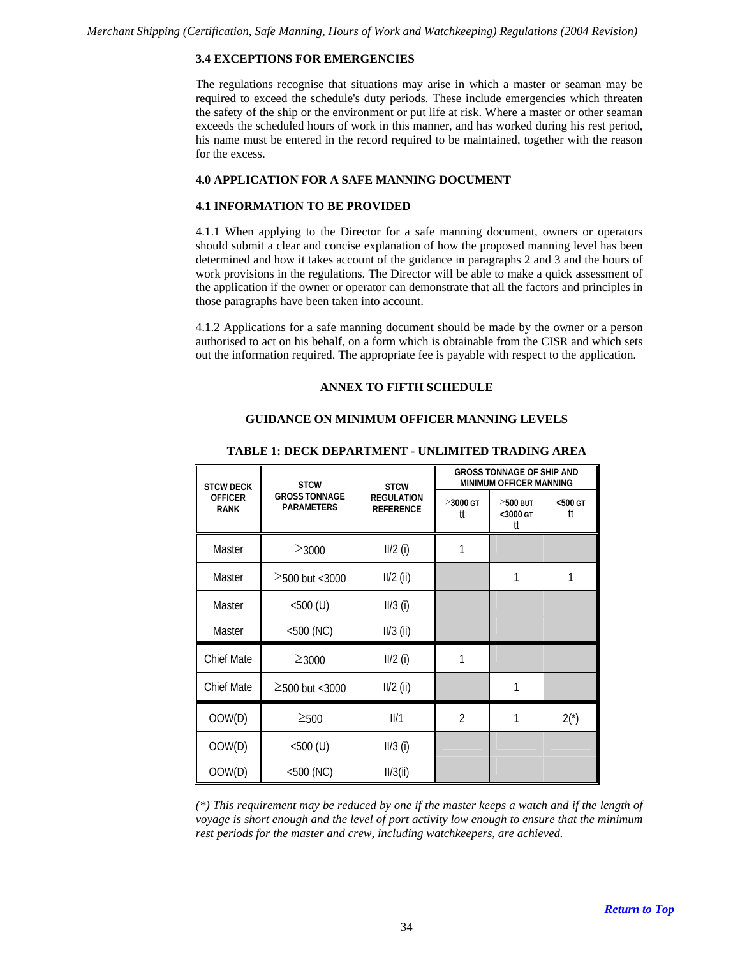# **3.4 EXCEPTIONS FOR EMERGENCIES**

The regulations recognise that situations may arise in which a master or seaman may be required to exceed the schedule's duty periods. These include emergencies which threaten the safety of the ship or the environment or put life at risk. Where a master or other seaman exceeds the scheduled hours of work in this manner, and has worked during his rest period, his name must be entered in the record required to be maintained, together with the reason for the excess.

# **4.0 APPLICATION FOR A SAFE MANNING DOCUMENT**

### **4.1 INFORMATION TO BE PROVIDED**

4.1.1 When applying to the Director for a safe manning document, owners or operators should submit a clear and concise explanation of how the proposed manning level has been determined and how it takes account of the guidance in paragraphs 2 and 3 and the hours of work provisions in the regulations. The Director will be able to make a quick assessment of the application if the owner or operator can demonstrate that all the factors and principles in those paragraphs have been taken into account.

4.1.2 Applications for a safe manning document should be made by the owner or a person authorised to act on his behalf, on a form which is obtainable from the CISR and which sets out the information required. The appropriate fee is payable with respect to the application.

# **ANNEX TO FIFTH SCHEDULE**

# **GUIDANCE ON MINIMUM OFFICER MANNING LEVELS**

| <b>STCW DECK</b>              | <b>STCW</b>                               | <b>STCW</b>                           | <b>GROSS TONNAGE OF SHIP AND</b><br><b>MINIMUM OFFICER MANNING</b> |                                  |                     |
|-------------------------------|-------------------------------------------|---------------------------------------|--------------------------------------------------------------------|----------------------------------|---------------------|
| <b>OFFICER</b><br><b>RANK</b> | <b>GROSS TONNAGE</b><br><b>PARAMETERS</b> | <b>REGULATION</b><br><b>REFERENCE</b> | $\geq$ 3000 GT<br>tt                                               | $\geq$ 500 BUT<br><3000 GT<br>tt | $<$ 500 $<$ T<br>tt |
| Master                        | $≥3000$                                   | $II/2$ (i)                            | 1                                                                  |                                  |                     |
| Master                        | $\geq$ 500 but <3000                      | $II/2$ (ii)                           |                                                                    | 1                                | 1                   |
| Master                        | $<500$ (U)                                | $II/3$ (i)                            |                                                                    |                                  |                     |
| Master                        | $<$ 500 (NC)                              | $II/3$ (ii)                           |                                                                    |                                  |                     |
| <b>Chief Mate</b>             | $≥3000$                                   | $II/2$ (i)                            | 1                                                                  |                                  |                     |
| <b>Chief Mate</b>             | $≥$ 500 but <3000                         | $II/2$ (ii)                           |                                                                    | 1                                |                     |
| OOW(D)                        | $\geq$ 500                                | III/1                                 | $\overline{2}$                                                     | 1                                | $2(*)$              |
| OOW(D)                        | $<$ 500 $(U)$                             | $II/3$ (i)                            |                                                                    |                                  |                     |
| OOW(D)                        | $<$ 500 (NC)                              | II/3(ii)                              |                                                                    |                                  |                     |

#### **TABLE 1: DECK DEPARTMENT - UNLIMITED TRADING AREA**

*(\*) This requirement may be reduced by one if the master keeps a watch and if the length of voyage is short enough and the level of port activity low enough to ensure that the minimum rest periods for the master and crew, including watchkeepers, are achieved.*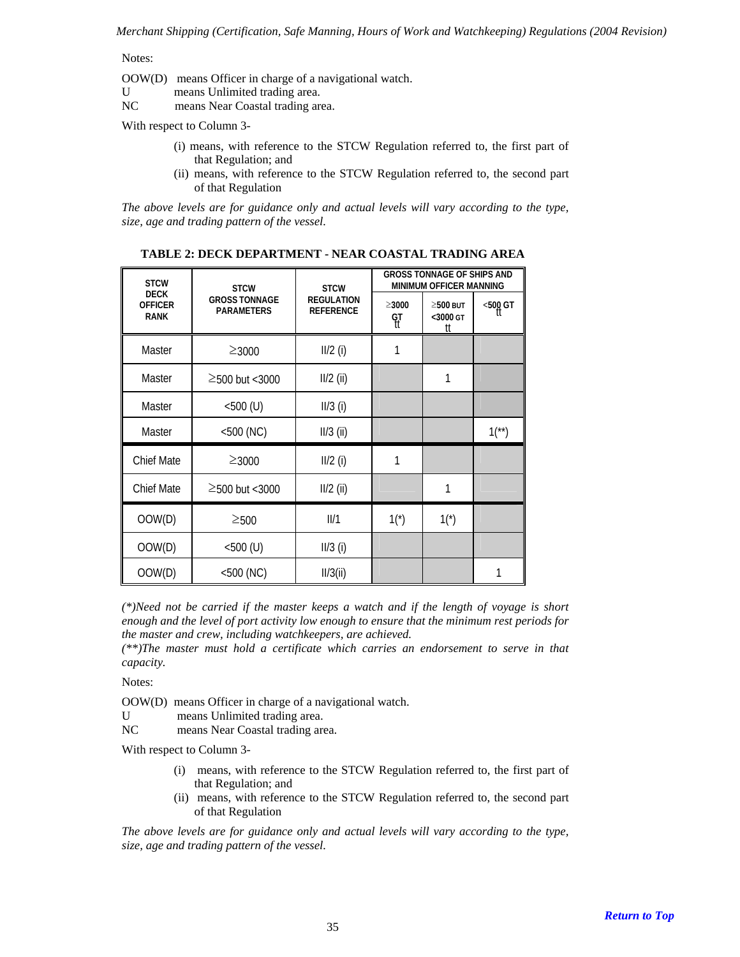Notes:

- OOW(D) means Officer in charge of a navigational watch.
- U means Unlimited trading area.

NC means Near Coastal trading area.

With respect to Column 3-

- (i) means, with reference to the STCW Regulation referred to, the first part of that Regulation; and
- (ii) means, with reference to the STCW Regulation referred to, the second part of that Regulation

*The above levels are for guidance only and actual levels will vary according to the type, size, age and trading pattern of the vessel.* 

| <b>STCW</b>                                  | <b>STCW</b>                               | <b>STCW</b>                           | <b>GROSS TONNAGE OF SHIPS AND</b><br>MINIMUM OFFICER MANNING |                                  |                       |
|----------------------------------------------|-------------------------------------------|---------------------------------------|--------------------------------------------------------------|----------------------------------|-----------------------|
| <b>DECK</b><br><b>OFFICER</b><br><b>RANK</b> | <b>GROSS TONNAGE</b><br><b>PARAMETERS</b> | <b>REGULATION</b><br><b>REFERENCE</b> | $\geq 3000$<br>ရာ<br>(၂                                      | $\geq$ 500 BUT<br><3000 GT<br>tt | $500$ GT              |
| Master                                       | $≥3000$                                   | $II/2$ (i)                            | 1                                                            |                                  |                       |
| Master                                       | $\geq$ 500 but <3000                      | $II/2$ (ii)                           |                                                              | 1                                |                       |
| Master                                       | $<$ 500 $(U)$                             | $II/3$ (i)                            |                                                              |                                  |                       |
| Master                                       | $<$ 500 (NC)                              | $II/3$ (ii)                           |                                                              |                                  | $1$ <sup>(**)</sup> ) |
| <b>Chief Mate</b>                            | $≥3000$                                   | $II/2$ (i)                            | 1                                                            |                                  |                       |
| Chief Mate                                   | $\geq$ 500 but <3000                      | $II/2$ (ii)                           |                                                              | 1                                |                       |
| OOW(D)                                       | $\geq$ 500                                | III/1                                 | $1(*)$                                                       | $1(*)$                           |                       |
| OOW(D)                                       | $<$ 500 $(U)$                             | $II/3$ (i)                            |                                                              |                                  |                       |
| OOW(D)                                       | $<$ 500 (NC)                              | II/3(ii)                              |                                                              |                                  |                       |

**TABLE 2: DECK DEPARTMENT - NEAR COASTAL TRADING AREA** 

*(\*)Need not be carried if the master keeps a watch and if the length of voyage is short enough and the level of port activity low enough to ensure that the minimum rest periods for the master and crew, including watchkeepers, are achieved.* 

*(\*\*)The master must hold a certificate which carries an endorsement to serve in that capacity.* 

Notes:

OOW(D) means Officer in charge of a navigational watch.

U means Unlimited trading area.

NC means Near Coastal trading area.

With respect to Column 3-

- (i) means, with reference to the STCW Regulation referred to, the first part of that Regulation; and
- (ii) means, with reference to the STCW Regulation referred to, the second part of that Regulation

*The above levels are for guidance only and actual levels will vary according to the type, size, age and trading pattern of the vessel.*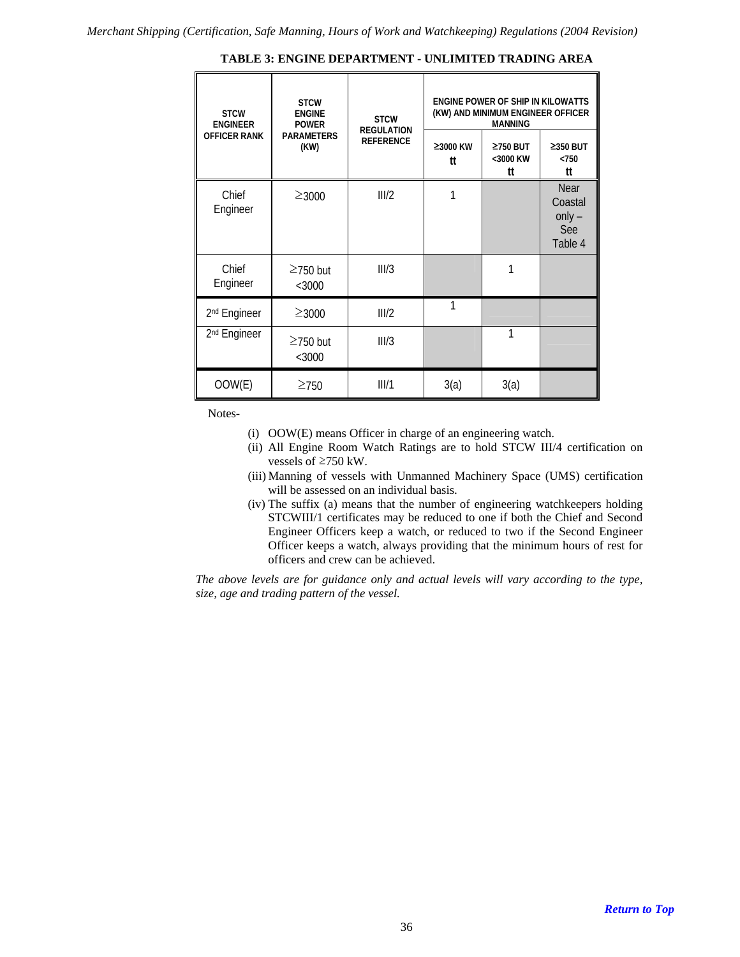| <b>STCW</b><br><b>ENGINEER</b> | <b>STCW</b><br><b>ENGINE</b><br><b>POWER</b> | <b>STCW</b><br><b>REGULATION</b> | ENGINE POWER OF SHIP IN KILOWATTS<br>(KW) AND MINIMUM ENGINEER OFFICER<br><b>MANNING</b> |                                  |                                                      |  |
|--------------------------------|----------------------------------------------|----------------------------------|------------------------------------------------------------------------------------------|----------------------------------|------------------------------------------------------|--|
| <b>OFFICER RANK</b>            | <b>PARAMETERS</b><br>(KW)                    | <b>REFERENCE</b>                 | ≥3000 KW<br>tt                                                                           | $\geq$ 750 BUT<br><3000 KW<br>tt | $\geq$ 350 BUT<br>< 750<br>tt                        |  |
| Chief<br>Engineer              | $≥3000$                                      | III/2                            |                                                                                          |                                  | <b>Near</b><br>Coastal<br>$only -$<br>See<br>Table 4 |  |
| Chief<br>Engineer              | $\geq$ 750 but<br><3000                      | III/3                            |                                                                                          | 1                                |                                                      |  |
| 2 <sup>nd</sup> Engineer       | $≥3000$                                      | III/2                            | 1                                                                                        |                                  |                                                      |  |
| 2 <sup>nd</sup> Engineer       | $\geq$ 750 but<br>$<$ 3000                   | III/3                            |                                                                                          | 1                                |                                                      |  |
| OOW(E)                         | $\geq$ 750                                   | III/1                            | 3(a)                                                                                     | 3(a)                             |                                                      |  |

**TABLE 3: ENGINE DEPARTMENT - UNLIMITED TRADING AREA** 

Notes-

- (i) OOW(E) means Officer in charge of an engineering watch.
- (ii) All Engine Room Watch Ratings are to hold STCW III/4 certification on vessels of ≥750 kW.
- (iii) Manning of vessels with Unmanned Machinery Space (UMS) certification will be assessed on an individual basis.
- (iv) The suffix (a) means that the number of engineering watchkeepers holding STCWIII/1 certificates may be reduced to one if both the Chief and Second Engineer Officers keep a watch, or reduced to two if the Second Engineer Officer keeps a watch, always providing that the minimum hours of rest for officers and crew can be achieved.

*The above levels are for guidance only and actual levels will vary according to the type, size, age and trading pattern of the vessel.*